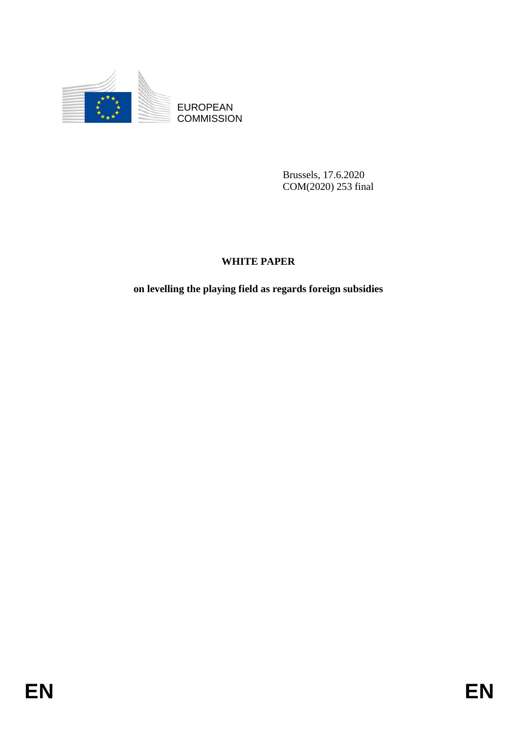

EUROPEAN **COMMISSION** 

> Brussels, 17.6.2020 COM(2020) 253 final

# **WHITE PAPER**

**on levelling the playing field as regards foreign subsidies**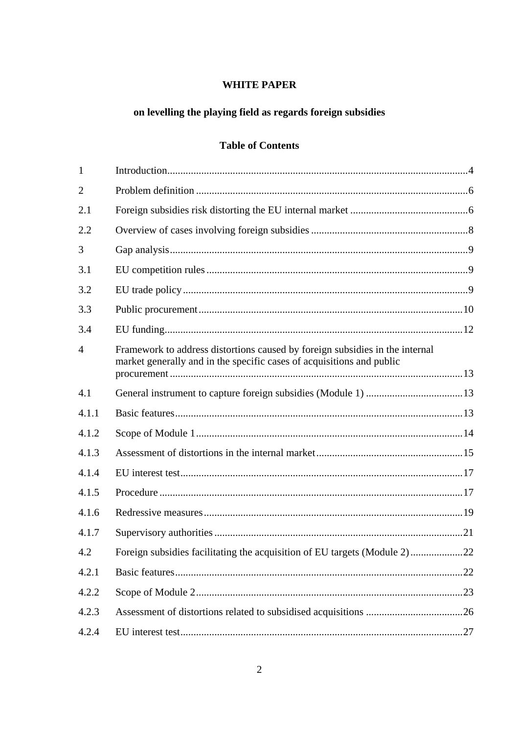# **WHITE PAPER**

# on levelling the playing field as regards foreign subsidies

# **Table of Contents**

| $\mathbf{1}$   |                                                                                                                                                       |  |
|----------------|-------------------------------------------------------------------------------------------------------------------------------------------------------|--|
| $\overline{2}$ |                                                                                                                                                       |  |
| 2.1            |                                                                                                                                                       |  |
| 2.2            |                                                                                                                                                       |  |
| 3              |                                                                                                                                                       |  |
| 3.1            |                                                                                                                                                       |  |
| 3.2            |                                                                                                                                                       |  |
| 3.3            |                                                                                                                                                       |  |
| 3.4            |                                                                                                                                                       |  |
| $\overline{4}$ | Framework to address distortions caused by foreign subsidies in the internal<br>market generally and in the specific cases of acquisitions and public |  |
| 4.1            |                                                                                                                                                       |  |
| 4.1.1          |                                                                                                                                                       |  |
| 4.1.2          |                                                                                                                                                       |  |
| 4.1.3          |                                                                                                                                                       |  |
| 4.1.4          |                                                                                                                                                       |  |
| 4.1.5          |                                                                                                                                                       |  |
| 4.1.6          |                                                                                                                                                       |  |
| 4.1.7          |                                                                                                                                                       |  |
| 4.2            | Foreign subsidies facilitating the acquisition of EU targets (Module 2)22                                                                             |  |
| 4.2.1          |                                                                                                                                                       |  |
| 4.2.2          |                                                                                                                                                       |  |
| 4.2.3          |                                                                                                                                                       |  |
| 4.2.4          |                                                                                                                                                       |  |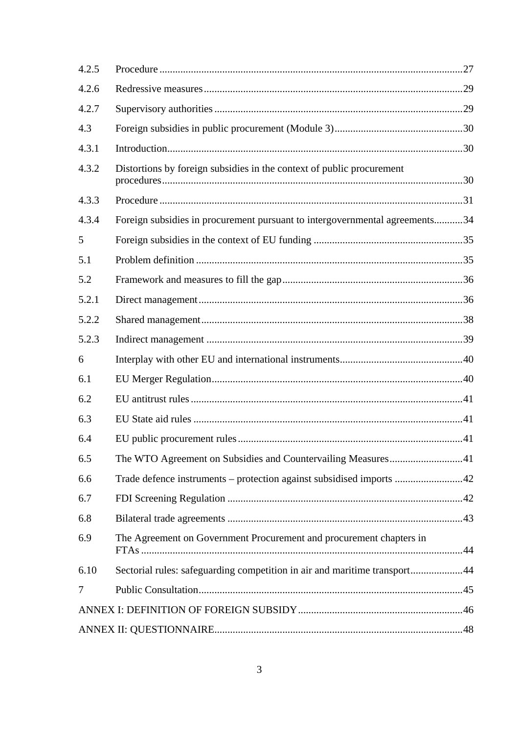| 4.2.5 |                                                                             |  |
|-------|-----------------------------------------------------------------------------|--|
| 4.2.6 |                                                                             |  |
| 4.2.7 |                                                                             |  |
| 4.3   |                                                                             |  |
| 4.3.1 |                                                                             |  |
| 4.3.2 | Distortions by foreign subsidies in the context of public procurement       |  |
| 4.3.3 |                                                                             |  |
| 4.3.4 | Foreign subsidies in procurement pursuant to intergovernmental agreements34 |  |
| 5     |                                                                             |  |
| 5.1   |                                                                             |  |
| 5.2   |                                                                             |  |
| 5.2.1 |                                                                             |  |
| 5.2.2 |                                                                             |  |
| 5.2.3 |                                                                             |  |
| 6     |                                                                             |  |
| 6.1   |                                                                             |  |
| 6.2   |                                                                             |  |
| 6.3   |                                                                             |  |
| 6.4   |                                                                             |  |
| 6.5   | The WTO Agreement on Subsidies and Countervailing Measures41                |  |
| 6.6   | Trade defence instruments – protection against subsidised imports 42        |  |
| 6.7   |                                                                             |  |
| 6.8   |                                                                             |  |
| 6.9   | The Agreement on Government Procurement and procurement chapters in         |  |
| 6.10  | Sectorial rules: safeguarding competition in air and maritime transport44   |  |
| 7     |                                                                             |  |
|       |                                                                             |  |
|       |                                                                             |  |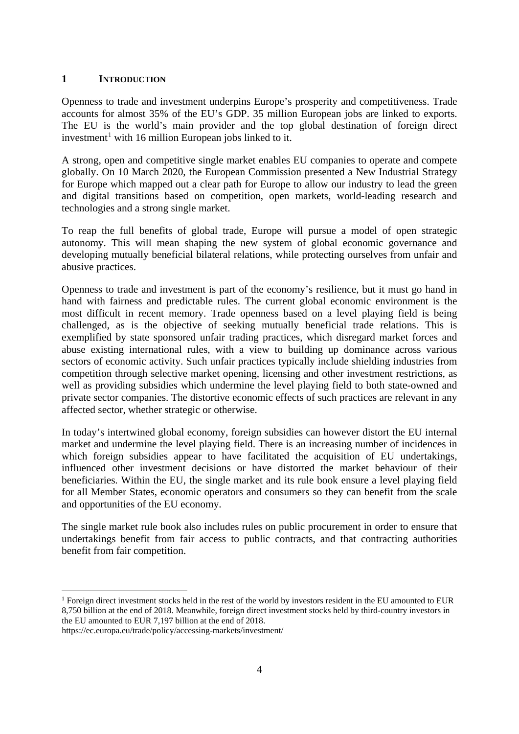#### <span id="page-3-0"></span>**1 INTRODUCTION**

Openness to trade and investment underpins Europe's prosperity and competitiveness. Trade accounts for almost 35% of the EU's GDP. 35 million European jobs are linked to exports. The EU is the world's main provider and the top global destination of foreign direct investment<sup>[1](#page-3-1)</sup> with 16 million European jobs linked to it.

A strong, open and competitive single market enables EU companies to operate and compete globally. On 10 March 2020, the European Commission presented a New Industrial Strategy for Europe which mapped out a clear path for Europe to allow our industry to lead the green and digital transitions based on competition, open markets, world-leading research and technologies and a strong single market.

To reap the full benefits of global trade, Europe will pursue a model of open strategic autonomy. This will mean shaping the new system of global economic governance and developing mutually beneficial bilateral relations, while protecting ourselves from unfair and abusive practices.

Openness to trade and investment is part of the economy's resilience, but it must go hand in hand with fairness and predictable rules. The current global economic environment is the most difficult in recent memory. Trade openness based on a level playing field is being challenged, as is the objective of seeking mutually beneficial trade relations. This is exemplified by state sponsored unfair trading practices, which disregard market forces and abuse existing international rules, with a view to building up dominance across various sectors of economic activity. Such unfair practices typically include shielding industries from competition through selective market opening, licensing and other investment restrictions, as well as providing subsidies which undermine the level playing field to both state-owned and private sector companies. The distortive economic effects of such practices are relevant in any affected sector, whether strategic or otherwise.

In today's intertwined global economy, foreign subsidies can however distort the EU internal market and undermine the level playing field. There is an increasing number of incidences in which foreign subsidies appear to have facilitated the acquisition of EU undertakings, influenced other investment decisions or have distorted the market behaviour of their beneficiaries. Within the EU, the single market and its rule book ensure a level playing field for all Member States, economic operators and consumers so they can benefit from the scale and opportunities of the EU economy.

The single market rule book also includes rules on public procurement in order to ensure that undertakings benefit from fair access to public contracts, and that contracting authorities benefit from fair competition.

<span id="page-3-1"></span><sup>&</sup>lt;sup>1</sup> Foreign direct investment stocks held in the rest of the world by investors resident in the EU amounted to EUR 8,750 billion at the end of 2018. Meanwhile, foreign direct investment stocks held by third-country investors in the EU amounted to EUR 7,197 billion at the end of 2018.

https://ec.europa.eu/trade/policy/accessing-markets/investment/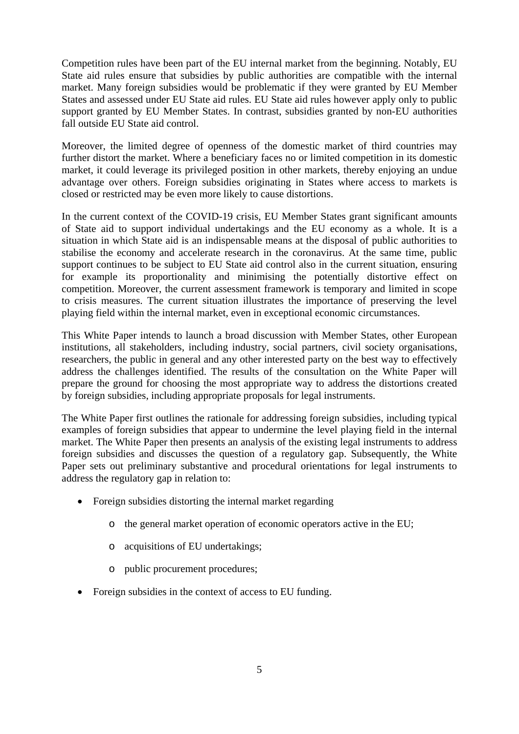Competition rules have been part of the EU internal market from the beginning. Notably, EU State aid rules ensure that subsidies by public authorities are compatible with the internal market. Many foreign subsidies would be problematic if they were granted by EU Member States and assessed under EU State aid rules. EU State aid rules however apply only to public support granted by EU Member States. In contrast, subsidies granted by non-EU authorities fall outside EU State aid control.

Moreover, the limited degree of openness of the domestic market of third countries may further distort the market. Where a beneficiary faces no or limited competition in its domestic market, it could leverage its privileged position in other markets, thereby enjoying an undue advantage over others. Foreign subsidies originating in States where access to markets is closed or restricted may be even more likely to cause distortions.

In the current context of the COVID-19 crisis, EU Member States grant significant amounts of State aid to support individual undertakings and the EU economy as a whole. It is a situation in which State aid is an indispensable means at the disposal of public authorities to stabilise the economy and accelerate research in the coronavirus. At the same time, public support continues to be subject to EU State aid control also in the current situation, ensuring for example its proportionality and minimising the potentially distortive effect on competition. Moreover, the current assessment framework is temporary and limited in scope to crisis measures. The current situation illustrates the importance of preserving the level playing field within the internal market, even in exceptional economic circumstances.

This White Paper intends to launch a broad discussion with Member States, other European institutions, all stakeholders, including industry, social partners, civil society organisations, researchers, the public in general and any other interested party on the best way to effectively address the challenges identified. The results of the consultation on the White Paper will prepare the ground for choosing the most appropriate way to address the distortions created by foreign subsidies, including appropriate proposals for legal instruments.

The White Paper first outlines the rationale for addressing foreign subsidies, including typical examples of foreign subsidies that appear to undermine the level playing field in the internal market. The White Paper then presents an analysis of the existing legal instruments to address foreign subsidies and discusses the question of a regulatory gap. Subsequently, the White Paper sets out preliminary substantive and procedural orientations for legal instruments to address the regulatory gap in relation to:

- Foreign subsidies distorting the internal market regarding
	- o the general market operation of economic operators active in the EU;
	- o acquisitions of EU undertakings;
	- o public procurement procedures;
- Foreign subsidies in the context of access to EU funding.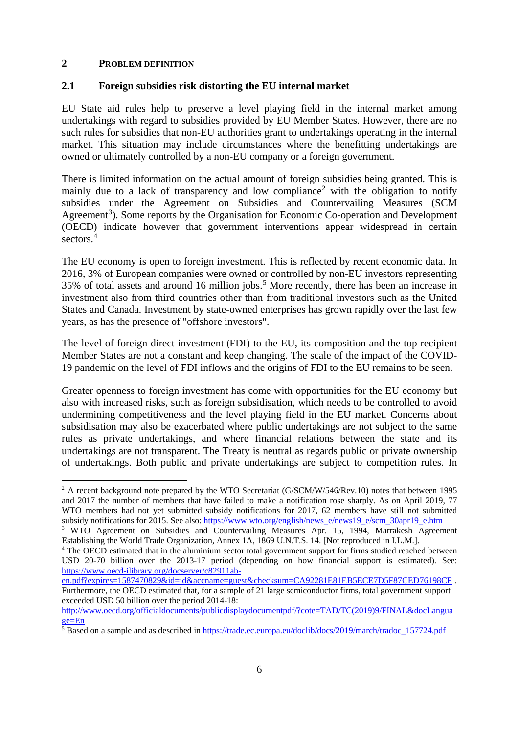## <span id="page-5-0"></span>**2 PROBLEM DEFINITION**

## <span id="page-5-1"></span>**2.1 Foreign subsidies risk distorting the EU internal market**

EU State aid rules help to preserve a level playing field in the internal market among undertakings with regard to subsidies provided by EU Member States. However, there are no such rules for subsidies that non-EU authorities grant to undertakings operating in the internal market. This situation may include circumstances where the benefitting undertakings are owned or ultimately controlled by a non-EU company or a foreign government.

There is limited information on the actual amount of foreign subsidies being granted. This is mainly due to a lack of transparency and low compliance<sup>[2](#page-5-2)</sup> with the obligation to notify subsidies under the Agreement on Subsidies and Countervailing Measures (SCM Agreement<sup>[3](#page-5-3)</sup>). Some reports by the Organisation for Economic Co-operation and Development (OECD) indicate however that government interventions appear widespread in certain sectors.<sup>[4](#page-5-4)</sup>

The EU economy is open to foreign investment. This is reflected by recent economic data. In 2016, 3% of European companies were owned or controlled by non-EU investors representing 3[5](#page-5-5)% of total assets and around 16 million jobs.<sup>5</sup> More recently, there has been an increase in investment also from third countries other than from traditional investors such as the United States and Canada. Investment by state-owned enterprises has grown rapidly over the last few years, as has the presence of "offshore investors".

The level of foreign direct investment (FDI) to the EU, its composition and the top recipient Member States are not a constant and keep changing. The scale of the impact of the COVID-19 pandemic on the level of FDI inflows and the origins of FDI to the EU remains to be seen.

Greater openness to foreign investment has come with opportunities for the EU economy but also with increased risks, such as foreign subsidisation, which needs to be controlled to avoid undermining competitiveness and the level playing field in the EU market. Concerns about subsidisation may also be exacerbated where public undertakings are not subject to the same rules as private undertakings, and where financial relations between the state and its undertakings are not transparent. The Treaty is neutral as regards public or private ownership of undertakings. Both public and private undertakings are subject to competition rules. In

<span id="page-5-2"></span><sup>&</sup>lt;sup>2</sup> A recent background note prepared by the WTO Secretariat [\(G/SCM/W/546/Rev.10\)](javascript:linkdoldoc() notes that between 1995 and 2017 the number of members that have failed to make a notification rose sharply. As on April 2019, 77 WTO members had not yet submitted subsidy notifications for 2017, 62 members have still not submitted subsidy notifications for 2015. See also: [https://www.wto.org/english/news\\_e/news19\\_e/scm\\_30apr19\\_e.htm](https://www.wto.org/english/news_e/news19_e/scm_30apr19_e.htm)

<span id="page-5-3"></span><sup>3</sup> WTO Agreement on Subsidies and Countervailing Measures Apr. 15, 1994, Marrakesh Agreement Establishing the World Trade Organization, Annex 1A, 1869 U.N.T.S. 14. [Not reproduced in I.L.M.].

<span id="page-5-4"></span><sup>&</sup>lt;sup>4</sup> The OECD estimated that in the aluminium sector total government support for firms studied reached between USD 20-70 billion over the 2013-17 period (depending on how financial support is estimated). See: [https://www.oecd-ilibrary.org/docserver/c82911ab-](https://www.oecd-ilibrary.org/docserver/c82911ab-en.pdf?expires=1587470829&id=id&accname=guest&checksum=CA92281E81EB5ECE7D5F87CED76198CF)

[en.pdf?expires=1587470829&id=id&accname=guest&checksum=CA92281E81EB5ECE7D5F87CED76198CF](https://www.oecd-ilibrary.org/docserver/c82911ab-en.pdf?expires=1587470829&id=id&accname=guest&checksum=CA92281E81EB5ECE7D5F87CED76198CF). Furthermore, the OECD estimated that, for a sample of 21 large semiconductor firms, total government support exceeded USD 50 billion over the period 2014-18:

[http://www.oecd.org/officialdocuments/publicdisplaydocumentpdf/?cote=TAD/TC\(2019\)9/FINAL&docLangua](http://www.oecd.org/officialdocuments/publicdisplaydocumentpdf/?cote=TAD/TC(2019)9/FINAL&docLanguage=En) [ge=En](http://www.oecd.org/officialdocuments/publicdisplaydocumentpdf/?cote=TAD/TC(2019)9/FINAL&docLanguage=En)

<span id="page-5-5"></span><sup>&</sup>lt;sup>5</sup> Based on a sample and as described i[n https://trade.ec.europa.eu/doclib/docs/2019/march/tradoc\\_157724.pdf](https://trade.ec.europa.eu/doclib/docs/2019/march/tradoc_157724.pdf)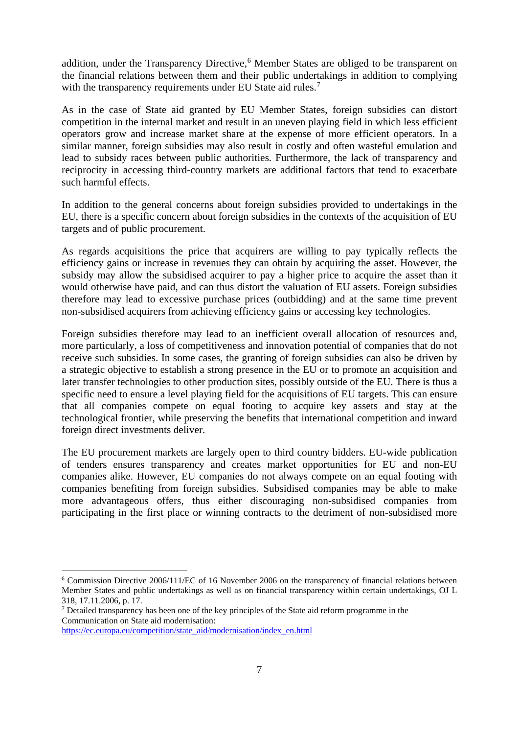addition, under the Transparency Directive,<sup>[6](#page-6-0)</sup> Member States are obliged to be transparent on the financial relations between them and their public undertakings in addition to complying with the transparency requirements under EU State aid rules.<sup>[7](#page-6-1)</sup>

As in the case of State aid granted by EU Member States, foreign subsidies can distort competition in the internal market and result in an uneven playing field in which less efficient operators grow and increase market share at the expense of more efficient operators. In a similar manner, foreign subsidies may also result in costly and often wasteful emulation and lead to subsidy races between public authorities. Furthermore, the lack of transparency and reciprocity in accessing third-country markets are additional factors that tend to exacerbate such harmful effects.

In addition to the general concerns about foreign subsidies provided to undertakings in the EU, there is a specific concern about foreign subsidies in the contexts of the acquisition of EU targets and of public procurement.

As regards acquisitions the price that acquirers are willing to pay typically reflects the efficiency gains or increase in revenues they can obtain by acquiring the asset. However, the subsidy may allow the subsidised acquirer to pay a higher price to acquire the asset than it would otherwise have paid, and can thus distort the valuation of EU assets. Foreign subsidies therefore may lead to excessive purchase prices (outbidding) and at the same time prevent non-subsidised acquirers from achieving efficiency gains or accessing key technologies.

Foreign subsidies therefore may lead to an inefficient overall allocation of resources and, more particularly, a loss of competitiveness and innovation potential of companies that do not receive such subsidies. In some cases, the granting of foreign subsidies can also be driven by a strategic objective to establish a strong presence in the EU or to promote an acquisition and later transfer technologies to other production sites, possibly outside of the EU. There is thus a specific need to ensure a level playing field for the acquisitions of EU targets. This can ensure that all companies compete on equal footing to acquire key assets and stay at the technological frontier, while preserving the benefits that international competition and inward foreign direct investments deliver.

The EU procurement markets are largely open to third country bidders. EU-wide publication of tenders ensures transparency and creates market opportunities for EU and non-EU companies alike. However, EU companies do not always compete on an equal footing with companies benefiting from foreign subsidies. Subsidised companies may be able to make more advantageous offers, thus either discouraging non-subsidised companies from participating in the first place or winning contracts to the detriment of non-subsidised more

<span id="page-6-0"></span> <sup>6</sup> Commission Directive 2006/111/EC of 16 November 2006 on the transparency of financial relations between Member States and public undertakings as well as on financial transparency within certain undertakings, OJ L 318, 17.11.2006, p. 17.

<span id="page-6-1"></span><sup>7</sup> Detailed transparency has been one of the key principles of the State aid reform programme in the Communication on State aid modernisation:

[https://ec.europa.eu/competition/state\\_aid/modernisation/index\\_en.html](https://ec.europa.eu/competition/state_aid/modernisation/index_en.html)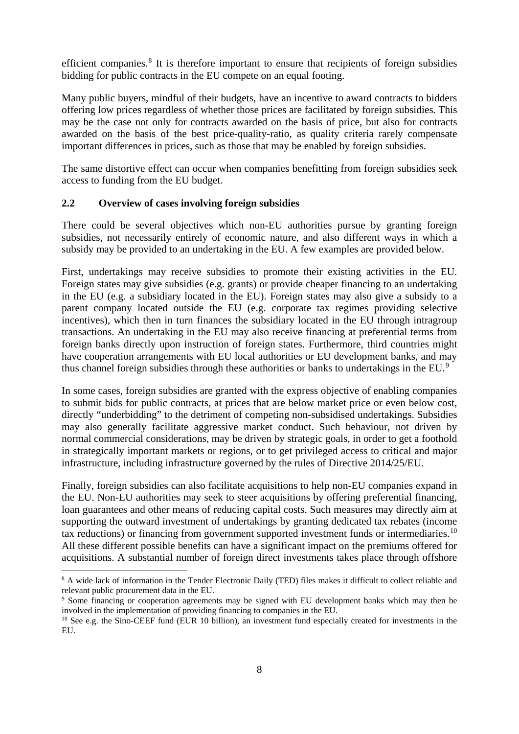efficient companies.<sup>[8](#page-7-1)</sup> It is therefore important to ensure that recipients of foreign subsidies bidding for public contracts in the EU compete on an equal footing.

Many public buyers, mindful of their budgets, have an incentive to award contracts to bidders offering low prices regardless of whether those prices are facilitated by foreign subsidies. This may be the case not only for contracts awarded on the basis of price, but also for contracts awarded on the basis of the best price-quality-ratio, as quality criteria rarely compensate important differences in prices, such as those that may be enabled by foreign subsidies.

The same distortive effect can occur when companies benefitting from foreign subsidies seek access to funding from the EU budget.

## <span id="page-7-0"></span>**2.2 Overview of cases involving foreign subsidies**

There could be several objectives which non-EU authorities pursue by granting foreign subsidies, not necessarily entirely of economic nature, and also different ways in which a subsidy may be provided to an undertaking in the EU. A few examples are provided below.

First, undertakings may receive subsidies to promote their existing activities in the EU. Foreign states may give subsidies (e.g. grants) or provide cheaper financing to an undertaking in the EU (e.g. a subsidiary located in the EU). Foreign states may also give a subsidy to a parent company located outside the EU (e.g. corporate tax regimes providing selective incentives), which then in turn finances the subsidiary located in the EU through intragroup transactions. An undertaking in the EU may also receive financing at preferential terms from foreign banks directly upon instruction of foreign states. Furthermore, third countries might have cooperation arrangements with EU local authorities or EU development banks, and may thus channel foreign subsidies through these authorities or banks to undertakings in the EU.<sup>[9](#page-7-2)</sup>

In some cases, foreign subsidies are granted with the express objective of enabling companies to submit bids for public contracts, at prices that are below market price or even below cost, directly "underbidding" to the detriment of competing non-subsidised undertakings. Subsidies may also generally facilitate aggressive market conduct. Such behaviour, not driven by normal commercial considerations, may be driven by strategic goals, in order to get a foothold in strategically important markets or regions, or to get privileged access to critical and major infrastructure, including infrastructure governed by the rules of Directive 2014/25/EU.

Finally, foreign subsidies can also facilitate acquisitions to help non-EU companies expand in the EU. Non-EU authorities may seek to steer acquisitions by offering preferential financing, loan guarantees and other means of reducing capital costs. Such measures may directly aim at supporting the outward investment of undertakings by granting dedicated tax rebates (income tax reductions) or financing from government supported investment funds or intermediaries.<sup>[10](#page-7-3)</sup> All these different possible benefits can have a significant impact on the premiums offered for acquisitions. A substantial number of foreign direct investments takes place through offshore

<span id="page-7-1"></span><sup>&</sup>lt;sup>8</sup> A wide lack of information in the Tender Electronic Daily (TED) files makes it difficult to collect reliable and relevant public procurement data in the EU.

<span id="page-7-2"></span><sup>9</sup> Some financing or cooperation agreements may be signed with EU development banks which may then be involved in the implementation of providing financing to companies in the EU.

<span id="page-7-3"></span><sup>&</sup>lt;sup>10</sup> See e.g. the Sino-CEEF fund (EUR 10 billion), an investment fund especially created for investments in the EU.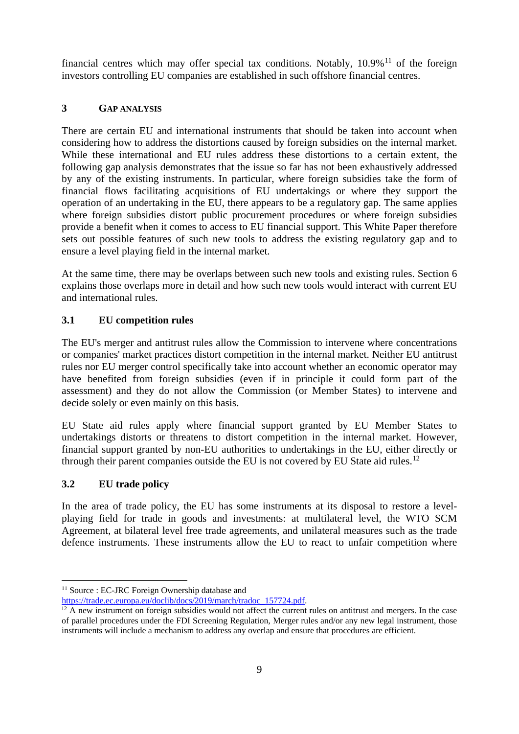financial centres which may offer special tax conditions. Notably,  $10.9\%$ <sup>[11](#page-8-3)</sup> of the foreign investors controlling EU companies are established in such offshore financial centres.

# <span id="page-8-0"></span>**3 GAP ANALYSIS**

There are certain EU and international instruments that should be taken into account when considering how to address the distortions caused by foreign subsidies on the internal market. While these international and EU rules address these distortions to a certain extent, the following gap analysis demonstrates that the issue so far has not been exhaustively addressed by any of the existing instruments. In particular, where foreign subsidies take the form of financial flows facilitating acquisitions of EU undertakings or where they support the operation of an undertaking in the EU, there appears to be a regulatory gap. The same applies where foreign subsidies distort public procurement procedures or where foreign subsidies provide a benefit when it comes to access to EU financial support. This White Paper therefore sets out possible features of such new tools to address the existing regulatory gap and to ensure a level playing field in the internal market.

At the same time, there may be overlaps between such new tools and existing rules. Section 6 explains those overlaps more in detail and how such new tools would interact with current EU and international rules.

# <span id="page-8-1"></span>**3.1 EU competition rules**

The EU's merger and antitrust rules allow the Commission to intervene where concentrations or companies' market practices distort competition in the internal market. Neither EU antitrust rules nor EU merger control specifically take into account whether an economic operator may have benefited from foreign subsidies (even if in principle it could form part of the assessment) and they do not allow the Commission (or Member States) to intervene and decide solely or even mainly on this basis.

EU State aid rules apply where financial support granted by EU Member States to undertakings distorts or threatens to distort competition in the internal market. However, financial support granted by non-EU authorities to undertakings in the EU, either directly or through their parent companies outside the EU is not covered by EU State aid rules.<sup>[12](#page-8-4)</sup>

# <span id="page-8-2"></span>**3.2 EU trade policy**

In the area of trade policy, the EU has some instruments at its disposal to restore a levelplaying field for trade in goods and investments: at multilateral level, the WTO SCM Agreement, at bilateral level free trade agreements, and unilateral measures such as the trade defence instruments. These instruments allow the EU to react to unfair competition where

<span id="page-8-3"></span><sup>&</sup>lt;sup>11</sup> Source : EC-JRC Foreign Ownership database and<br>https://trade.ec.europa.eu/doclib/docs/2019/march/tradoc 157724.pdf.

<span id="page-8-4"></span> $\overline{P^2}$  A new instrument on foreign subsidies would not affect the current rules on antitrust and mergers. In the case of parallel procedures under the FDI Screening Regulation, Merger rules and/or any new legal instrument, those instruments will include a mechanism to address any overlap and ensure that procedures are efficient.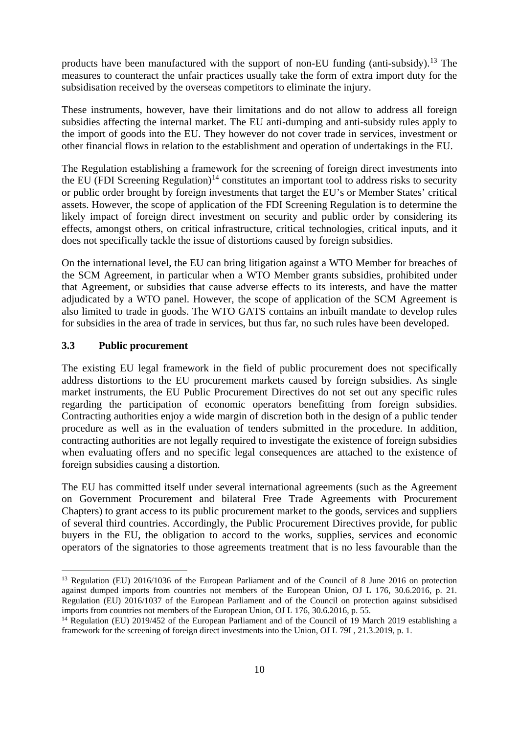products have been manufactured with the support of non-EU funding (anti-subsidy).[13](#page-9-1) The measures to counteract the unfair practices usually take the form of extra import duty for the subsidisation received by the overseas competitors to eliminate the injury.

These instruments, however, have their limitations and do not allow to address all foreign subsidies affecting the internal market. The EU anti-dumping and anti-subsidy rules apply to the import of goods into the EU. They however do not cover trade in services, investment or other financial flows in relation to the establishment and operation of undertakings in the EU.

The Regulation establishing a framework for the screening of foreign direct investments into the EU (FDI Screening Regulation)<sup>[14](#page-9-2)</sup> constitutes an important tool to address risks to security or public order brought by foreign investments that target the EU's or Member States' critical assets. However, the scope of application of the FDI Screening Regulation is to determine the likely impact of foreign direct investment on security and public order by considering its effects, amongst others, on critical infrastructure, critical technologies, critical inputs, and it does not specifically tackle the issue of distortions caused by foreign subsidies.

On the international level, the EU can bring litigation against a WTO Member for breaches of the SCM Agreement, in particular when a WTO Member grants subsidies, prohibited under that Agreement, or subsidies that cause adverse effects to its interests, and have the matter adjudicated by a WTO panel. However, the scope of application of the SCM Agreement is also limited to trade in goods. The WTO GATS contains an inbuilt mandate to develop rules for subsidies in the area of trade in services, but thus far, no such rules have been developed.

#### <span id="page-9-0"></span>**3.3 Public procurement**

The existing EU legal framework in the field of public procurement does not specifically address distortions to the EU procurement markets caused by foreign subsidies. As single market instruments, the EU Public Procurement Directives do not set out any specific rules regarding the participation of economic operators benefitting from foreign subsidies. Contracting authorities enjoy a wide margin of discretion both in the design of a public tender procedure as well as in the evaluation of tenders submitted in the procedure. In addition, contracting authorities are not legally required to investigate the existence of foreign subsidies when evaluating offers and no specific legal consequences are attached to the existence of foreign subsidies causing a distortion.

The EU has committed itself under several international agreements (such as the Agreement on Government Procurement and bilateral Free Trade Agreements with Procurement Chapters) to grant access to its public procurement market to the goods, services and suppliers of several third countries. Accordingly, the Public Procurement Directives provide, for public buyers in the EU, the obligation to accord to the works, supplies, services and economic operators of the signatories to those agreements treatment that is no less favourable than the

<span id="page-9-1"></span><sup>&</sup>lt;sup>13</sup> Regulation (EU) 2016/1036 of the European Parliament and of the Council of 8 June 2016 on protection against dumped imports from countries not members of the European Union, OJ L 176, 30.6.2016, p. 21. Regulation (EU) 2016/1037 of the European Parliament and of the Council on protection against subsidised imports from countries not members of the European Union, OJ L 176, 30.6.2016, p. 55.

<span id="page-9-2"></span><sup>&</sup>lt;sup>14</sup> Regulation (EU) 2019/452 of the European Parliament and of the Council of 19 March 2019 establishing a framework for the screening of foreign direct investments into the Union, OJ L 79I , 21.3.2019, p. 1.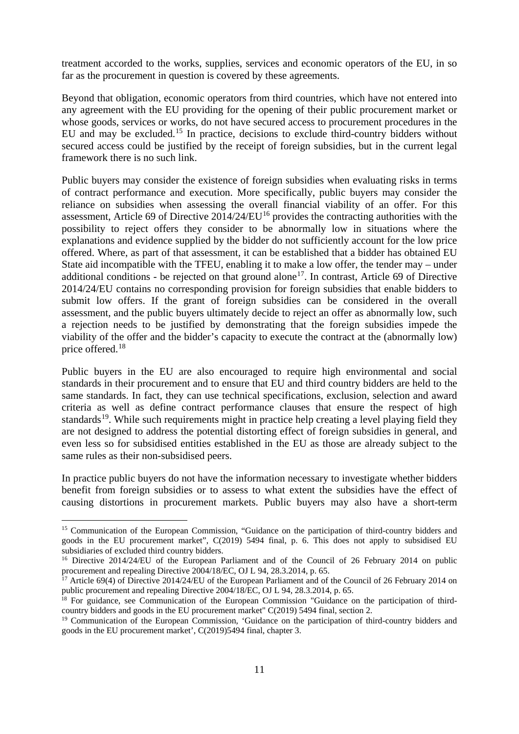treatment accorded to the works, supplies, services and economic operators of the EU, in so far as the procurement in question is covered by these agreements.

Beyond that obligation, economic operators from third countries, which have not entered into any agreement with the EU providing for the opening of their public procurement market or whose goods, services or works, do not have secured access to procurement procedures in the EU and may be excluded.<sup>[15](#page-10-0)</sup> In practice, decisions to exclude third-country bidders without secured access could be justified by the receipt of foreign subsidies, but in the current legal framework there is no such link.

Public buyers may consider the existence of foreign subsidies when evaluating risks in terms of contract performance and execution. More specifically, public buyers may consider the reliance on subsidies when assessing the overall financial viability of an offer. For this assessment, Article 69 of Directive  $2014/24/EU^{16}$  $2014/24/EU^{16}$  $2014/24/EU^{16}$  provides the contracting authorities with the possibility to reject offers they consider to be abnormally low in situations where the explanations and evidence supplied by the bidder do not sufficiently account for the low price offered. Where, as part of that assessment, it can be established that a bidder has obtained EU State aid incompatible with the TFEU, enabling it to make a low offer, the tender may – under additional conditions - be rejected on that ground alone<sup>[17](#page-10-2)</sup>. In contrast, Article 69 of Directive 2014/24/EU contains no corresponding provision for foreign subsidies that enable bidders to submit low offers. If the grant of foreign subsidies can be considered in the overall assessment, and the public buyers ultimately decide to reject an offer as abnormally low, such a rejection needs to be justified by demonstrating that the foreign subsidies impede the viability of the offer and the bidder's capacity to execute the contract at the (abnormally low) price offered.[18](#page-10-3)

Public buyers in the EU are also encouraged to require high environmental and social standards in their procurement and to ensure that EU and third country bidders are held to the same standards. In fact, they can use technical specifications, exclusion, selection and award criteria as well as define contract performance clauses that ensure the respect of high standards<sup>19</sup>. While such requirements might in practice help creating a level playing field they are not designed to address the potential distorting effect of foreign subsidies in general, and even less so for subsidised entities established in the EU as those are already subject to the same rules as their non-subsidised peers.

In practice public buyers do not have the information necessary to investigate whether bidders benefit from foreign subsidies or to assess to what extent the subsidies have the effect of causing distortions in procurement markets. Public buyers may also have a short-term

<span id="page-10-0"></span><sup>&</sup>lt;sup>15</sup> Communication of the European Commission, "Guidance on the participation of third-country bidders and goods in the EU procurement market", C(2019) 5494 final, p. 6. This does not apply to subsidised EU subsidiaries of excluded third country bidders.

<span id="page-10-1"></span><sup>&</sup>lt;sup>16</sup> Directive 2014/24/EU of the European Parliament and of the Council of 26 February 2014 on public procurement and repealing Directive 2004/18/EC, OJ L 94, 28.3.2014, p. 65.

<span id="page-10-2"></span><sup>&</sup>lt;sup>17</sup> Article 69(4) of Directive 2014/24/EU of the European Parliament and of the Council of 26 February 2014 on public procurement and repealing Directive 2004/18/EC, OJ L 94, 28.3.2014, p. 65.

<span id="page-10-3"></span><sup>&</sup>lt;sup>18</sup> For guidance, see Communication of the European Commission "Guidance on the participation of thirdcountry bidders and goods in the EU procurement market" C(2019) 5494 final, section 2.

<span id="page-10-4"></span><sup>&</sup>lt;sup>19</sup> Communication of the European Commission, 'Guidance on the participation of third-country bidders and goods in the EU procurement market', C(2019)5494 final, chapter 3.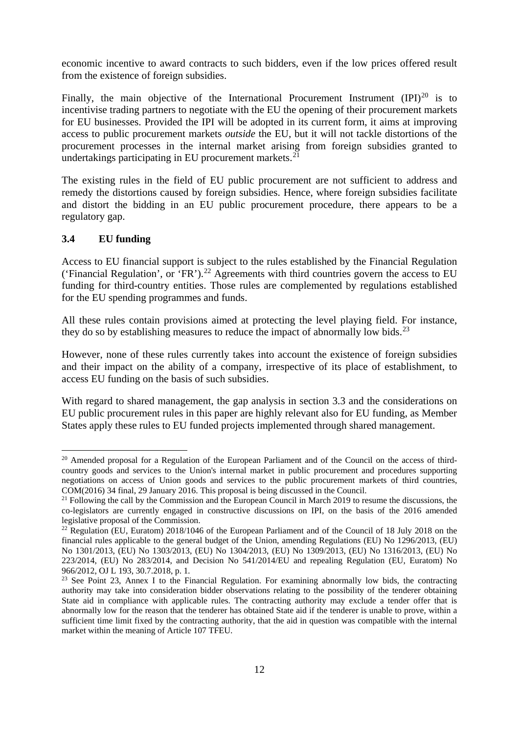economic incentive to award contracts to such bidders, even if the low prices offered result from the existence of foreign subsidies.

Finally, the main objective of the International Procurement Instrument  $(IPI)^{20}$  $(IPI)^{20}$  $(IPI)^{20}$  is to incentivise trading partners to negotiate with the EU the opening of their procurement markets for EU businesses. Provided the IPI will be adopted in its current form, it aims at improving access to public procurement markets *outside* the EU, but it will not tackle distortions of the procurement processes in the internal market arising from foreign subsidies granted to undertakings participating in EU procurement markets. $^{21}$  $^{21}$  $^{21}$ 

The existing rules in the field of EU public procurement are not sufficient to address and remedy the distortions caused by foreign subsidies. Hence, where foreign subsidies facilitate and distort the bidding in an EU public procurement procedure, there appears to be a regulatory gap.

#### <span id="page-11-0"></span>**3.4 EU funding**

Access to EU financial support is subject to the rules established by the Financial Regulation ('Financial Regulation', or 'FR').<sup>[22](#page-11-3)</sup> Agreements with third countries govern the access to EU funding for third-country entities. Those rules are complemented by regulations established for the EU spending programmes and funds.

All these rules contain provisions aimed at protecting the level playing field. For instance, they do so by establishing measures to reduce the impact of abnormally low bids.<sup>[23](#page-11-4)</sup>

However, none of these rules currently takes into account the existence of foreign subsidies and their impact on the ability of a company, irrespective of its place of establishment, to access EU funding on the basis of such subsidies.

With regard to shared management, the gap analysis in section 3.3 and the considerations on EU public procurement rules in this paper are highly relevant also for EU funding, as Member States apply these rules to EU funded projects implemented through shared management.

<span id="page-11-1"></span><sup>&</sup>lt;sup>20</sup> Amended proposal for a Regulation of the European Parliament and of the Council on the access of thirdcountry goods and services to the Union's internal market in public procurement and procedures supporting negotiations on access of Union goods and services to the public procurement markets of third countries, COM(2016) 34 final, 29 January 2016. This proposal is being discussed in the Council.

<span id="page-11-2"></span><sup>&</sup>lt;sup>21</sup> Following the call by the Commission and the European Council in March 2019 to resume the discussions, the co-legislators are currently engaged in constructive discussions on IPI, on the basis of the 2016 amended legislative proposal of the Commission.

<span id="page-11-3"></span><sup>&</sup>lt;sup>22</sup> Regulation (EU, Euratom) 2018/1046 of the European Parliament and of the Council of 18 July 2018 on the financial rules applicable to the general budget of the Union, amending Regulations (EU) No 1296/2013, (EU) No 1301/2013, (EU) No 1303/2013, (EU) No 1304/2013, (EU) No 1309/2013, (EU) No 1316/2013, (EU) No 223/2014, (EU) No 283/2014, and Decision No 541/2014/EU and repealing Regulation (EU, Euratom) No 966/2012, OJ L 193, 30.7.2018, p. 1*.*

<span id="page-11-4"></span><sup>&</sup>lt;sup>23</sup> See Point 23, Annex I to the Financial Regulation. For examining abnormally low bids, the contracting authority may take into consideration bidder observations relating to the possibility of the tenderer obtaining State aid in compliance with applicable rules. The contracting authority may exclude a tender offer that is abnormally low for the reason that the tenderer has obtained State aid if the tenderer is unable to prove, within a sufficient time limit fixed by the contracting authority, that the aid in question was compatible with the internal market within the meaning of Article 107 TFEU.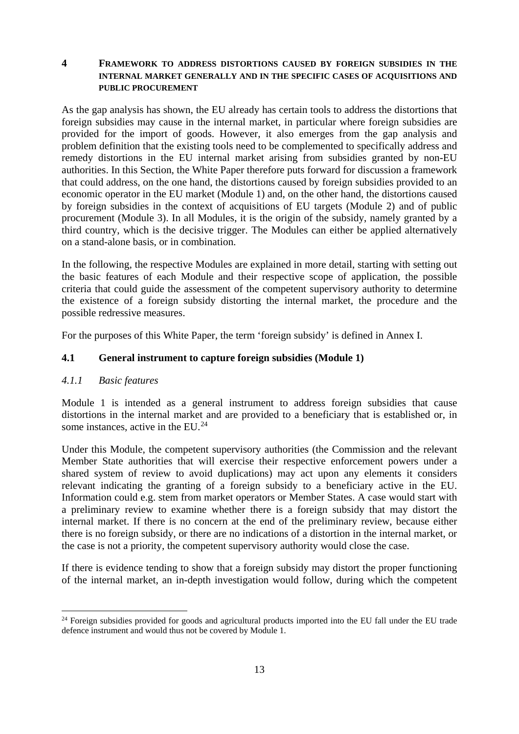## <span id="page-12-0"></span>**4 FRAMEWORK TO ADDRESS DISTORTIONS CAUSED BY FOREIGN SUBSIDIES IN THE INTERNAL MARKET GENERALLY AND IN THE SPECIFIC CASES OF ACQUISITIONS AND PUBLIC PROCUREMENT**

As the gap analysis has shown, the EU already has certain tools to address the distortions that foreign subsidies may cause in the internal market, in particular where foreign subsidies are provided for the import of goods. However, it also emerges from the gap analysis and problem definition that the existing tools need to be complemented to specifically address and remedy distortions in the EU internal market arising from subsidies granted by non-EU authorities. In this Section, the White Paper therefore puts forward for discussion a framework that could address, on the one hand, the distortions caused by foreign subsidies provided to an economic operator in the EU market (Module 1) and, on the other hand, the distortions caused by foreign subsidies in the context of acquisitions of EU targets (Module 2) and of public procurement (Module 3). In all Modules, it is the origin of the subsidy, namely granted by a third country, which is the decisive trigger. The Modules can either be applied alternatively on a stand-alone basis, or in combination.

In the following, the respective Modules are explained in more detail, starting with setting out the basic features of each Module and their respective scope of application, the possible criteria that could guide the assessment of the competent supervisory authority to determine the existence of a foreign subsidy distorting the internal market, the procedure and the possible redressive measures.

For the purposes of this White Paper, the term 'foreign subsidy' is defined in Annex I.

## <span id="page-12-1"></span>**4.1 General instrument to capture foreign subsidies (Module 1)**

#### <span id="page-12-2"></span>*4.1.1 Basic features*

Module 1 is intended as a general instrument to address foreign subsidies that cause distortions in the internal market and are provided to a beneficiary that is established or, in some instances, active in the EU. $^{24}$  $^{24}$  $^{24}$ 

Under this Module, the competent supervisory authorities (the Commission and the relevant Member State authorities that will exercise their respective enforcement powers under a shared system of review to avoid duplications) may act upon any elements it considers relevant indicating the granting of a foreign subsidy to a beneficiary active in the EU. Information could e.g. stem from market operators or Member States. A case would start with a preliminary review to examine whether there is a foreign subsidy that may distort the internal market. If there is no concern at the end of the preliminary review, because either there is no foreign subsidy, or there are no indications of a distortion in the internal market, or the case is not a priority, the competent supervisory authority would close the case.

If there is evidence tending to show that a foreign subsidy may distort the proper functioning of the internal market, an in-depth investigation would follow, during which the competent

<span id="page-12-3"></span><sup>&</sup>lt;sup>24</sup> Foreign subsidies provided for goods and agricultural products imported into the EU fall under the EU trade defence instrument and would thus not be covered by Module 1.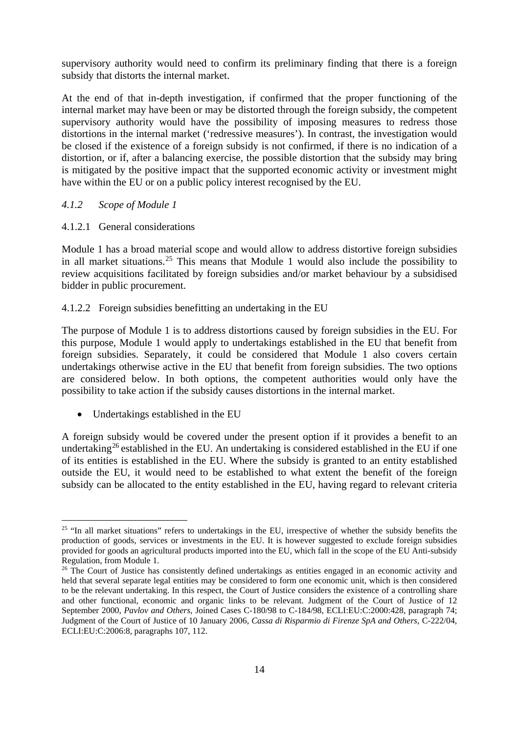supervisory authority would need to confirm its preliminary finding that there is a foreign subsidy that distorts the internal market.

At the end of that in-depth investigation, if confirmed that the proper functioning of the internal market may have been or may be distorted through the foreign subsidy, the competent supervisory authority would have the possibility of imposing measures to redress those distortions in the internal market ('redressive measures'). In contrast, the investigation would be closed if the existence of a foreign subsidy is not confirmed, if there is no indication of a distortion, or if, after a balancing exercise, the possible distortion that the subsidy may bring is mitigated by the positive impact that the supported economic activity or investment might have within the EU or on a public policy interest recognised by the EU.

#### <span id="page-13-0"></span>*4.1.2 Scope of Module 1*

#### 4.1.2.1 General considerations

Module 1 has a broad material scope and would allow to address distortive foreign subsidies in all market situations.[25](#page-13-1) This means that Module 1 would also include the possibility to review acquisitions facilitated by foreign subsidies and/or market behaviour by a subsidised bidder in public procurement.

#### 4.1.2.2 Foreign subsidies benefitting an undertaking in the EU

The purpose of Module 1 is to address distortions caused by foreign subsidies in the EU. For this purpose, Module 1 would apply to undertakings established in the EU that benefit from foreign subsidies. Separately, it could be considered that Module 1 also covers certain undertakings otherwise active in the EU that benefit from foreign subsidies. The two options are considered below. In both options, the competent authorities would only have the possibility to take action if the subsidy causes distortions in the internal market.

• Undertakings established in the EU

A foreign subsidy would be covered under the present option if it provides a benefit to an undertaking<sup>[26](#page-13-2)</sup> established in the EU. An undertaking is considered established in the EU if one of its entities is established in the EU. Where the subsidy is granted to an entity established outside the EU, it would need to be established to what extent the benefit of the foreign subsidy can be allocated to the entity established in the EU, having regard to relevant criteria

<span id="page-13-1"></span><sup>&</sup>lt;sup>25</sup> "In all market situations" refers to undertakings in the EU, irrespective of whether the subsidy benefits the production of goods, services or investments in the EU. It is however suggested to exclude foreign subsidies provided for goods an agricultural products imported into the EU, which fall in the scope of the EU Anti-subsidy Regulation, from Module 1.<br><sup>26</sup> The Court of Justice has consistently defined undertakings as entities engaged in an economic activity and

<span id="page-13-2"></span>held that several separate legal entities may be considered to form one economic unit, which is then considered to be the relevant undertaking. In this respect, the Court of Justice considers the existence of a controlling share and other functional, economic and organic links to be relevant. Judgment of the Court of Justice of 12 September 2000, *Pavlov and Others*, Joined Cases C-180/98 to C-184/98, ECLI:EU:C:2000:428, paragraph 74; Judgment of the Court of Justice of 10 January 2006, *Cassa di Risparmio di Firenze SpA and Others*, C-222/04, ECLI:EU:C:2006:8, paragraphs 107, 112.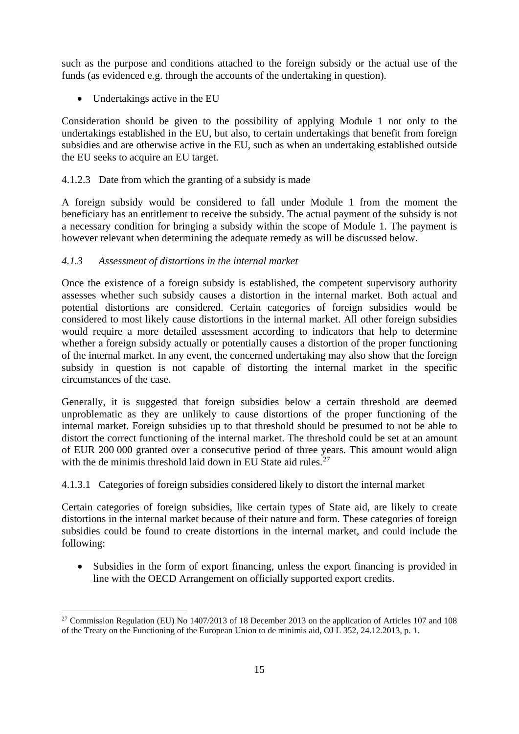such as the purpose and conditions attached to the foreign subsidy or the actual use of the funds (as evidenced e.g. through the accounts of the undertaking in question).

• Undertakings active in the EU

Consideration should be given to the possibility of applying Module 1 not only to the undertakings established in the EU, but also, to certain undertakings that benefit from foreign subsidies and are otherwise active in the EU, such as when an undertaking established outside the EU seeks to acquire an EU target.

## 4.1.2.3 Date from which the granting of a subsidy is made

A foreign subsidy would be considered to fall under Module 1 from the moment the beneficiary has an entitlement to receive the subsidy. The actual payment of the subsidy is not a necessary condition for bringing a subsidy within the scope of Module 1. The payment is however relevant when determining the adequate remedy as will be discussed below.

## <span id="page-14-0"></span>*4.1.3 Assessment of distortions in the internal market*

Once the existence of a foreign subsidy is established, the competent supervisory authority assesses whether such subsidy causes a distortion in the internal market. Both actual and potential distortions are considered. Certain categories of foreign subsidies would be considered to most likely cause distortions in the internal market. All other foreign subsidies would require a more detailed assessment according to indicators that help to determine whether a foreign subsidy actually or potentially causes a distortion of the proper functioning of the internal market. In any event, the concerned undertaking may also show that the foreign subsidy in question is not capable of distorting the internal market in the specific circumstances of the case.

Generally, it is suggested that foreign subsidies below a certain threshold are deemed unproblematic as they are unlikely to cause distortions of the proper functioning of the internal market. Foreign subsidies up to that threshold should be presumed to not be able to distort the correct functioning of the internal market. The threshold could be set at an amount of EUR 200 000 granted over a consecutive period of three years. This amount would align with the de minimis threshold laid down in EU State aid rules. $27$ 

# 4.1.3.1 Categories of foreign subsidies considered likely to distort the internal market

Certain categories of foreign subsidies, like certain types of State aid, are likely to create distortions in the internal market because of their nature and form. These categories of foreign subsidies could be found to create distortions in the internal market, and could include the following:

• Subsidies in the form of export financing, unless the export financing is provided in line with the OECD Arrangement on officially supported export credits.

<span id="page-14-1"></span><sup>&</sup>lt;sup>27</sup> Commission Regulation (EU) No 1407/2013 of 18 December 2013 on the application of Articles 107 and 108 of the Treaty on the Functioning of the European Union to de minimis aid, OJ L 352, 24.12.2013, p. 1.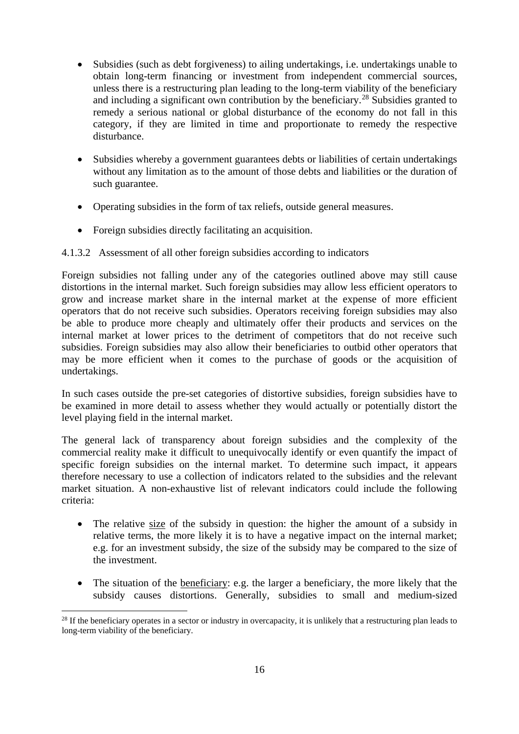- Subsidies (such as debt forgiveness) to ailing undertakings, i.e. undertakings unable to obtain long-term financing or investment from independent commercial sources, unless there is a restructuring plan leading to the long-term viability of the beneficiary and including a significant own contribution by the beneficiary.<sup>[28](#page-15-0)</sup> Subsidies granted to remedy a serious national or global disturbance of the economy do not fall in this category, if they are limited in time and proportionate to remedy the respective disturbance.
- Subsidies whereby a government guarantees debts or liabilities of certain undertakings without any limitation as to the amount of those debts and liabilities or the duration of such guarantee.
- Operating subsidies in the form of tax reliefs, outside general measures.
- Foreign subsidies directly facilitating an acquisition.

# 4.1.3.2 Assessment of all other foreign subsidies according to indicators

Foreign subsidies not falling under any of the categories outlined above may still cause distortions in the internal market. Such foreign subsidies may allow less efficient operators to grow and increase market share in the internal market at the expense of more efficient operators that do not receive such subsidies. Operators receiving foreign subsidies may also be able to produce more cheaply and ultimately offer their products and services on the internal market at lower prices to the detriment of competitors that do not receive such subsidies. Foreign subsidies may also allow their beneficiaries to outbid other operators that may be more efficient when it comes to the purchase of goods or the acquisition of undertakings.

In such cases outside the pre-set categories of distortive subsidies, foreign subsidies have to be examined in more detail to assess whether they would actually or potentially distort the level playing field in the internal market.

The general lack of transparency about foreign subsidies and the complexity of the commercial reality make it difficult to unequivocally identify or even quantify the impact of specific foreign subsidies on the internal market. To determine such impact, it appears therefore necessary to use a collection of indicators related to the subsidies and the relevant market situation. A non-exhaustive list of relevant indicators could include the following criteria:

- The relative size of the subsidy in question: the higher the amount of a subsidy in relative terms, the more likely it is to have a negative impact on the internal market; e.g. for an investment subsidy, the size of the subsidy may be compared to the size of the investment.
- The situation of the beneficiary: e.g. the larger a beneficiary, the more likely that the subsidy causes distortions. Generally, subsidies to small and medium-sized

<span id="page-15-0"></span><sup>&</sup>lt;sup>28</sup> If the beneficiary operates in a sector or industry in overcapacity, it is unlikely that a restructuring plan leads to long-term viability of the beneficiary.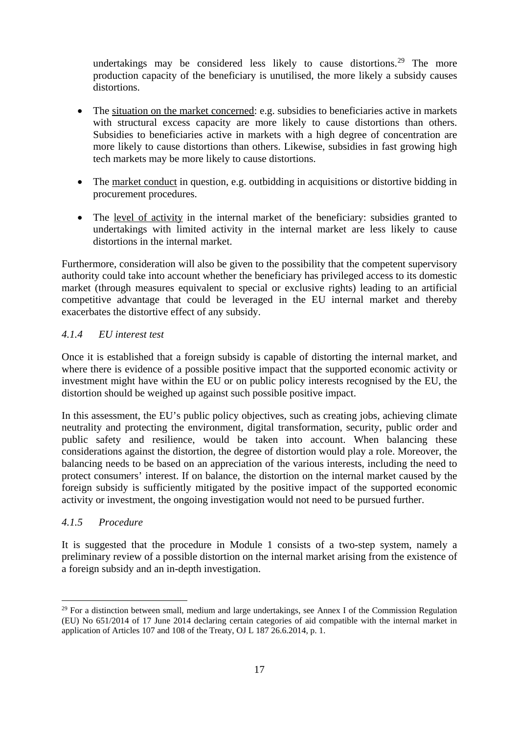undertakings may be considered less likely to cause distortions.<sup>[29](#page-16-2)</sup> The more production capacity of the beneficiary is unutilised, the more likely a subsidy causes distortions.

- The situation on the market concerned: e.g. subsidies to beneficiaries active in markets with structural excess capacity are more likely to cause distortions than others. Subsidies to beneficiaries active in markets with a high degree of concentration are more likely to cause distortions than others. Likewise, subsidies in fast growing high tech markets may be more likely to cause distortions.
- The market conduct in question, e.g. outbidding in acquisitions or distortive bidding in procurement procedures.
- The level of activity in the internal market of the beneficiary: subsidies granted to undertakings with limited activity in the internal market are less likely to cause distortions in the internal market.

Furthermore, consideration will also be given to the possibility that the competent supervisory authority could take into account whether the beneficiary has privileged access to its domestic market (through measures equivalent to special or exclusive rights) leading to an artificial competitive advantage that could be leveraged in the EU internal market and thereby exacerbates the distortive effect of any subsidy.

# <span id="page-16-0"></span>*4.1.4 EU interest test*

Once it is established that a foreign subsidy is capable of distorting the internal market, and where there is evidence of a possible positive impact that the supported economic activity or investment might have within the EU or on public policy interests recognised by the EU, the distortion should be weighed up against such possible positive impact.

In this assessment, the EU's public policy objectives, such as creating jobs, achieving climate neutrality and protecting the environment, digital transformation, security, public order and public safety and resilience, would be taken into account. When balancing these considerations against the distortion, the degree of distortion would play a role. Moreover, the balancing needs to be based on an appreciation of the various interests, including the need to protect consumers' interest. If on balance, the distortion on the internal market caused by the foreign subsidy is sufficiently mitigated by the positive impact of the supported economic activity or investment, the ongoing investigation would not need to be pursued further.

#### <span id="page-16-1"></span>*4.1.5 Procedure*

It is suggested that the procedure in Module 1 consists of a two-step system, namely a preliminary review of a possible distortion on the internal market arising from the existence of a foreign subsidy and an in-depth investigation.

<span id="page-16-2"></span><sup>&</sup>lt;sup>29</sup> For a distinction between small, medium and large undertakings, see Annex I of the Commission Regulation (EU) No 651/2014 of 17 June 2014 declaring certain categories of aid compatible with the internal market in application of Articles 107 and 108 of the Treaty, OJ L 187 26.6.2014, p. 1.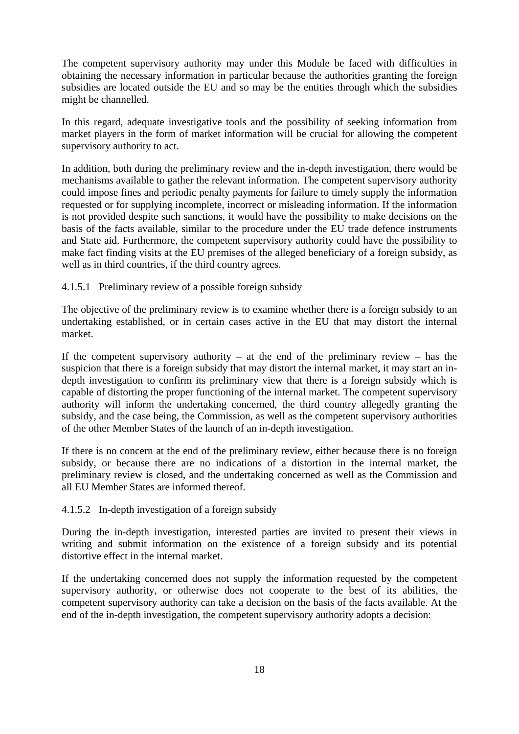The competent supervisory authority may under this Module be faced with difficulties in obtaining the necessary information in particular because the authorities granting the foreign subsidies are located outside the EU and so may be the entities through which the subsidies might be channelled.

In this regard, adequate investigative tools and the possibility of seeking information from market players in the form of market information will be crucial for allowing the competent supervisory authority to act.

In addition, both during the preliminary review and the in-depth investigation, there would be mechanisms available to gather the relevant information. The competent supervisory authority could impose fines and periodic penalty payments for failure to timely supply the information requested or for supplying incomplete, incorrect or misleading information. If the information is not provided despite such sanctions, it would have the possibility to make decisions on the basis of the facts available, similar to the procedure under the EU trade defence instruments and State aid. Furthermore, the competent supervisory authority could have the possibility to make fact finding visits at the EU premises of the alleged beneficiary of a foreign subsidy, as well as in third countries, if the third country agrees.

#### 4.1.5.1 Preliminary review of a possible foreign subsidy

The objective of the preliminary review is to examine whether there is a foreign subsidy to an undertaking established, or in certain cases active in the EU that may distort the internal market.

If the competent supervisory authority – at the end of the preliminary review – has the suspicion that there is a foreign subsidy that may distort the internal market, it may start an indepth investigation to confirm its preliminary view that there is a foreign subsidy which is capable of distorting the proper functioning of the internal market. The competent supervisory authority will inform the undertaking concerned, the third country allegedly granting the subsidy, and the case being, the Commission, as well as the competent supervisory authorities of the other Member States of the launch of an in-depth investigation.

If there is no concern at the end of the preliminary review, either because there is no foreign subsidy, or because there are no indications of a distortion in the internal market, the preliminary review is closed, and the undertaking concerned as well as the Commission and all EU Member States are informed thereof.

#### 4.1.5.2 In-depth investigation of a foreign subsidy

During the in-depth investigation, interested parties are invited to present their views in writing and submit information on the existence of a foreign subsidy and its potential distortive effect in the internal market.

If the undertaking concerned does not supply the information requested by the competent supervisory authority, or otherwise does not cooperate to the best of its abilities, the competent supervisory authority can take a decision on the basis of the facts available. At the end of the in-depth investigation, the competent supervisory authority adopts a decision: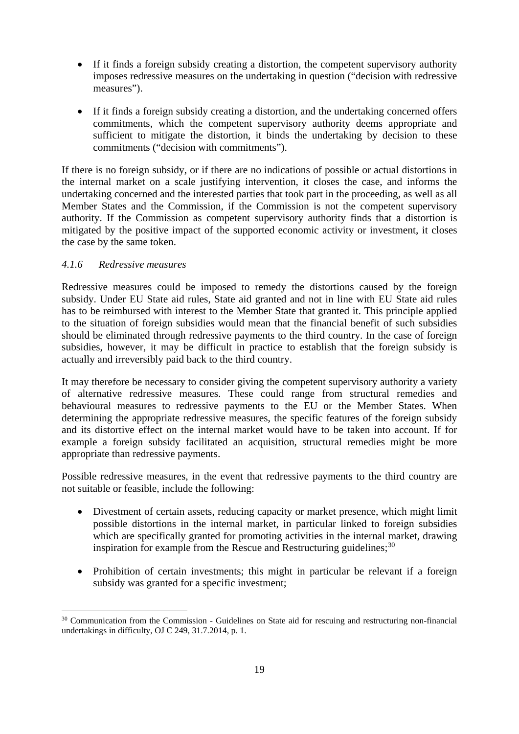- If it finds a foreign subsidy creating a distortion, the competent supervisory authority imposes redressive measures on the undertaking in question ("decision with redressive measures").
- If it finds a foreign subsidy creating a distortion, and the undertaking concerned offers commitments, which the competent supervisory authority deems appropriate and sufficient to mitigate the distortion, it binds the undertaking by decision to these commitments ("decision with commitments").

If there is no foreign subsidy, or if there are no indications of possible or actual distortions in the internal market on a scale justifying intervention, it closes the case, and informs the undertaking concerned and the interested parties that took part in the proceeding, as well as all Member States and the Commission, if the Commission is not the competent supervisory authority. If the Commission as competent supervisory authority finds that a distortion is mitigated by the positive impact of the supported economic activity or investment, it closes the case by the same token.

## <span id="page-18-0"></span>*4.1.6 Redressive measures*

Redressive measures could be imposed to remedy the distortions caused by the foreign subsidy. Under EU State aid rules, State aid granted and not in line with EU State aid rules has to be reimbursed with interest to the Member State that granted it. This principle applied to the situation of foreign subsidies would mean that the financial benefit of such subsidies should be eliminated through redressive payments to the third country. In the case of foreign subsidies, however, it may be difficult in practice to establish that the foreign subsidy is actually and irreversibly paid back to the third country.

It may therefore be necessary to consider giving the competent supervisory authority a variety of alternative redressive measures. These could range from structural remedies and behavioural measures to redressive payments to the EU or the Member States. When determining the appropriate redressive measures, the specific features of the foreign subsidy and its distortive effect on the internal market would have to be taken into account. If for example a foreign subsidy facilitated an acquisition, structural remedies might be more appropriate than redressive payments.

Possible redressive measures, in the event that redressive payments to the third country are not suitable or feasible, include the following:

- Divestment of certain assets, reducing capacity or market presence, which might limit possible distortions in the internal market, in particular linked to foreign subsidies which are specifically granted for promoting activities in the internal market, drawing inspiration for example from the Rescue and Restructuring guidelines;  $30$
- Prohibition of certain investments; this might in particular be relevant if a foreign subsidy was granted for a specific investment;

<span id="page-18-1"></span><sup>&</sup>lt;sup>30</sup> Communication from the Commission - Guidelines on State aid for rescuing and restructuring non-financial undertakings in difficulty, OJ C 249, 31.7.2014, p. 1.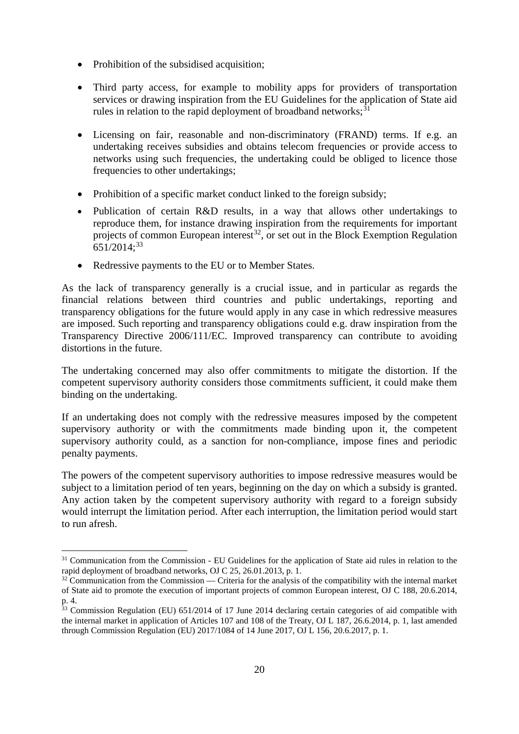- Prohibition of the subsidised acquisition:
- Third party access, for example to mobility apps for providers of transportation services or drawing inspiration from the EU Guidelines for the application of State aid rules in relation to the rapid deployment of broadband networks; $31$
- Licensing on fair, reasonable and non-discriminatory (FRAND) terms. If e.g. an undertaking receives subsidies and obtains telecom frequencies or provide access to networks using such frequencies, the undertaking could be obliged to licence those frequencies to other undertakings;
- Prohibition of a specific market conduct linked to the foreign subsidy;
- Publication of certain R&D results, in a way that allows other undertakings to reproduce them, for instance drawing inspiration from the requirements for important projects of common European interest<sup>[32](#page-19-1)</sup>, or set out in the Block Exemption Regulation  $651/2014$ ;<sup>[33](#page-19-2)</sup>
- Redressive payments to the EU or to Member States.

As the lack of transparency generally is a crucial issue, and in particular as regards the financial relations between third countries and public undertakings, reporting and transparency obligations for the future would apply in any case in which redressive measures are imposed. Such reporting and transparency obligations could e.g. draw inspiration from the Transparency Directive 2006/111/EC. Improved transparency can contribute to avoiding distortions in the future.

The undertaking concerned may also offer commitments to mitigate the distortion. If the competent supervisory authority considers those commitments sufficient, it could make them binding on the undertaking.

If an undertaking does not comply with the redressive measures imposed by the competent supervisory authority or with the commitments made binding upon it, the competent supervisory authority could, as a sanction for non-compliance, impose fines and periodic penalty payments.

The powers of the competent supervisory authorities to impose redressive measures would be subject to a limitation period of ten years, beginning on the day on which a subsidy is granted. Any action taken by the competent supervisory authority with regard to a foreign subsidy would interrupt the limitation period. After each interruption, the limitation period would start to run afresh.

<span id="page-19-0"></span><sup>&</sup>lt;sup>31</sup> Communication from the Commission - EU Guidelines for the application of State aid rules in relation to the rapid deployment of broadband networks, OJ C 25, 26,01,2013, p. 1.

<span id="page-19-1"></span> $32$  Communication from the Commission — Criteria for the analysis of the compatibility with the internal market of State aid to promote the execution of important projects of common European interest, OJ C 188, 20.6.2014, p. 4.

<span id="page-19-2"></span> $\frac{33}{33}$  Commission Regulation (EU) 651/2014 of 17 June 2014 declaring certain categories of aid compatible with the internal market in application of Articles 107 and 108 of the Treaty, OJ L 187, 26.6.2014, p. 1, last amended through Commission Regulation (EU) 2017/1084 of 14 June 2017, OJ L 156, 20.6.2017, p. 1.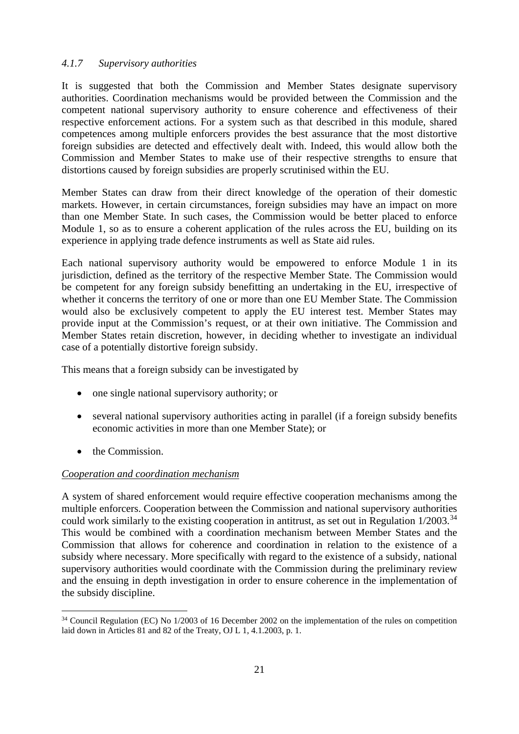## <span id="page-20-0"></span>*4.1.7 Supervisory authorities*

It is suggested that both the Commission and Member States designate supervisory authorities. Coordination mechanisms would be provided between the Commission and the competent national supervisory authority to ensure coherence and effectiveness of their respective enforcement actions. For a system such as that described in this module, shared competences among multiple enforcers provides the best assurance that the most distortive foreign subsidies are detected and effectively dealt with. Indeed, this would allow both the Commission and Member States to make use of their respective strengths to ensure that distortions caused by foreign subsidies are properly scrutinised within the EU.

Member States can draw from their direct knowledge of the operation of their domestic markets. However, in certain circumstances, foreign subsidies may have an impact on more than one Member State. In such cases, the Commission would be better placed to enforce Module 1, so as to ensure a coherent application of the rules across the EU, building on its experience in applying trade defence instruments as well as State aid rules.

Each national supervisory authority would be empowered to enforce Module 1 in its jurisdiction, defined as the territory of the respective Member State. The Commission would be competent for any foreign subsidy benefitting an undertaking in the EU, irrespective of whether it concerns the territory of one or more than one EU Member State. The Commission would also be exclusively competent to apply the EU interest test. Member States may provide input at the Commission's request, or at their own initiative. The Commission and Member States retain discretion, however, in deciding whether to investigate an individual case of a potentially distortive foreign subsidy.

This means that a foreign subsidy can be investigated by

- one single national supervisory authority; or
- several national supervisory authorities acting in parallel (if a foreign subsidy benefits economic activities in more than one Member State); or
- the Commission.

# *Cooperation and coordination mechanism*

A system of shared enforcement would require effective cooperation mechanisms among the multiple enforcers. Cooperation between the Commission and national supervisory authorities could work similarly to the existing cooperation in antitrust, as set out in Regulation 1/2003.<sup>[34](#page-20-1)</sup> This would be combined with a coordination mechanism between Member States and the Commission that allows for coherence and coordination in relation to the existence of a subsidy where necessary. More specifically with regard to the existence of a subsidy, national supervisory authorities would coordinate with the Commission during the preliminary review and the ensuing in depth investigation in order to ensure coherence in the implementation of the subsidy discipline.

<span id="page-20-1"></span><sup>&</sup>lt;sup>34</sup> Council Regulation (EC) No 1/2003 of 16 December 2002 on the implementation of the rules on competition laid down in Articles 81 and 82 of the Treaty, OJ L 1, 4.1.2003, p. 1.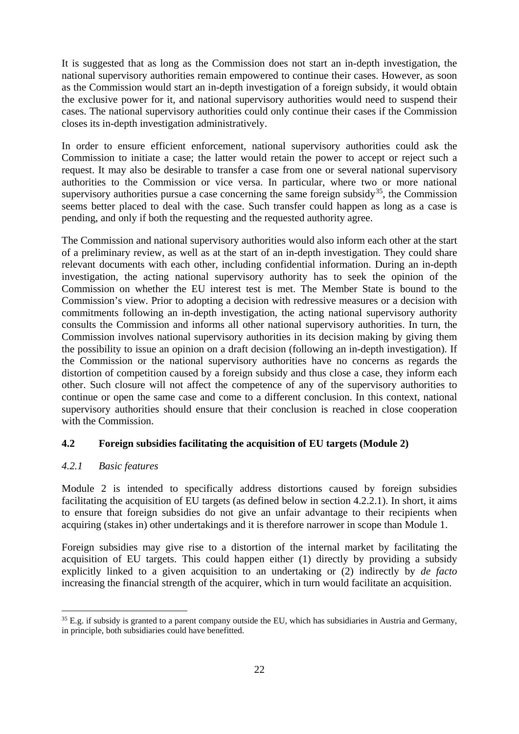It is suggested that as long as the Commission does not start an in-depth investigation, the national supervisory authorities remain empowered to continue their cases. However, as soon as the Commission would start an in-depth investigation of a foreign subsidy, it would obtain the exclusive power for it, and national supervisory authorities would need to suspend their cases. The national supervisory authorities could only continue their cases if the Commission closes its in-depth investigation administratively.

In order to ensure efficient enforcement, national supervisory authorities could ask the Commission to initiate a case; the latter would retain the power to accept or reject such a request. It may also be desirable to transfer a case from one or several national supervisory authorities to the Commission or vice versa. In particular, where two or more national supervisory authorities pursue a case concerning the same foreign subsidy<sup>[35](#page-21-2)</sup>, the Commission seems better placed to deal with the case. Such transfer could happen as long as a case is pending, and only if both the requesting and the requested authority agree.

The Commission and national supervisory authorities would also inform each other at the start of a preliminary review, as well as at the start of an in-depth investigation. They could share relevant documents with each other, including confidential information. During an in-depth investigation, the acting national supervisory authority has to seek the opinion of the Commission on whether the EU interest test is met. The Member State is bound to the Commission's view. Prior to adopting a decision with redressive measures or a decision with commitments following an in-depth investigation, the acting national supervisory authority consults the Commission and informs all other national supervisory authorities. In turn, the Commission involves national supervisory authorities in its decision making by giving them the possibility to issue an opinion on a draft decision (following an in-depth investigation). If the Commission or the national supervisory authorities have no concerns as regards the distortion of competition caused by a foreign subsidy and thus close a case, they inform each other. Such closure will not affect the competence of any of the supervisory authorities to continue or open the same case and come to a different conclusion. In this context, national supervisory authorities should ensure that their conclusion is reached in close cooperation with the Commission.

# <span id="page-21-0"></span>**4.2 Foreign subsidies facilitating the acquisition of EU targets (Module 2)**

# <span id="page-21-1"></span>*4.2.1 Basic features*

Module 2 is intended to specifically address distortions caused by foreign subsidies facilitating the acquisition of EU targets (as defined below in section 4.2.2.1). In short, it aims to ensure that foreign subsidies do not give an unfair advantage to their recipients when acquiring (stakes in) other undertakings and it is therefore narrower in scope than Module 1.

Foreign subsidies may give rise to a distortion of the internal market by facilitating the acquisition of EU targets. This could happen either (1) directly by providing a subsidy explicitly linked to a given acquisition to an undertaking or (2) indirectly by *de facto* increasing the financial strength of the acquirer, which in turn would facilitate an acquisition.

<span id="page-21-2"></span><sup>&</sup>lt;sup>35</sup> E.g. if subsidy is granted to a parent company outside the EU, which has subsidiaries in Austria and Germany, in principle, both subsidiaries could have benefitted.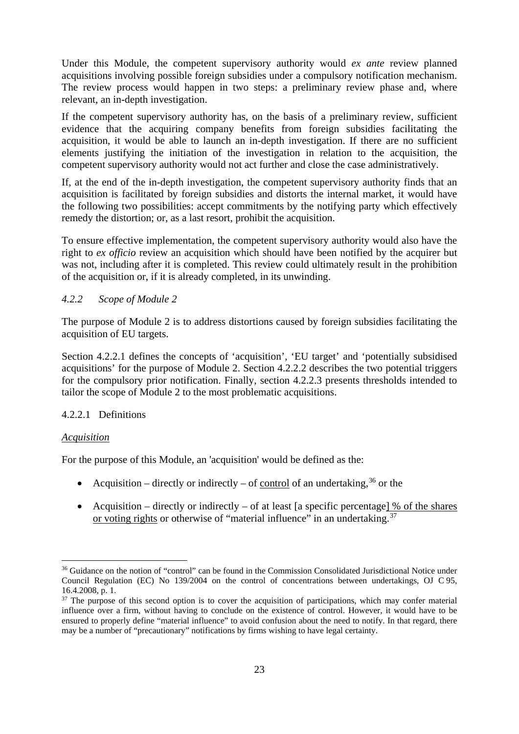Under this Module, the competent supervisory authority would *ex ante* review planned acquisitions involving possible foreign subsidies under a compulsory notification mechanism. The review process would happen in two steps: a preliminary review phase and, where relevant, an in-depth investigation.

If the competent supervisory authority has, on the basis of a preliminary review, sufficient evidence that the acquiring company benefits from foreign subsidies facilitating the acquisition, it would be able to launch an in-depth investigation. If there are no sufficient elements justifying the initiation of the investigation in relation to the acquisition, the competent supervisory authority would not act further and close the case administratively.

If, at the end of the in-depth investigation, the competent supervisory authority finds that an acquisition is facilitated by foreign subsidies and distorts the internal market, it would have the following two possibilities: accept commitments by the notifying party which effectively remedy the distortion; or, as a last resort, prohibit the acquisition.

To ensure effective implementation, the competent supervisory authority would also have the right to *ex officio* review an acquisition which should have been notified by the acquirer but was not, including after it is completed. This review could ultimately result in the prohibition of the acquisition or, if it is already completed, in its unwinding.

## <span id="page-22-0"></span>*4.2.2 Scope of Module 2*

The purpose of Module 2 is to address distortions caused by foreign subsidies facilitating the acquisition of EU targets.

Section 4.2.2.1 defines the concepts of 'acquisition', 'EU target' and 'potentially subsidised acquisitions' for the purpose of Module 2. Section 4.2.2.2 describes the two potential triggers for the compulsory prior notification. Finally, section 4.2.2.3 presents thresholds intended to tailor the scope of Module 2 to the most problematic acquisitions.

# 4.2.2.1 Definitions

#### *Acquisition*

For the purpose of this Module, an 'acquisition' would be defined as the:

- Acquisition directly or indirectly of control of an undertaking,  $36$  or the
- Acquisition directly or indirectly of at least [a specific percentage] % of the shares or voting rights or otherwise of "material influence" in an undertaking.<sup>[37](#page-22-2)</sup>

<span id="page-22-1"></span><sup>&</sup>lt;sup>36</sup> Guidance on the notion of "control" can be found in the Commission Consolidated Jurisdictional Notice under Council Regulation (EC) No 139/2004 on the control of concentrations between undertakings, OJ C 95, 16.4.2008, p. 1.

<span id="page-22-2"></span> $37$  The purpose of this second option is to cover the acquisition of participations, which may confer material influence over a firm, without having to conclude on the existence of control. However, it would have to be ensured to properly define "material influence" to avoid confusion about the need to notify. In that regard, there may be a number of "precautionary" notifications by firms wishing to have legal certainty.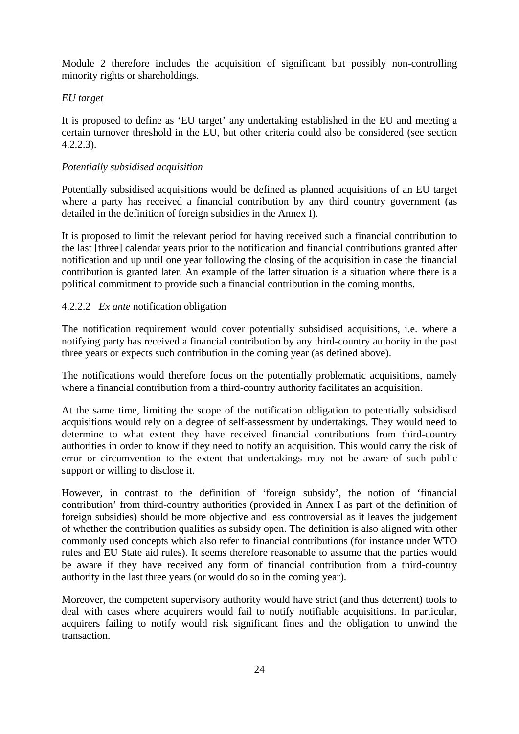Module 2 therefore includes the acquisition of significant but possibly non-controlling minority rights or shareholdings.

## *EU target*

It is proposed to define as 'EU target' any undertaking established in the EU and meeting a certain turnover threshold in the EU, but other criteria could also be considered (see section 4.2.2.3).

#### *Potentially subsidised acquisition*

Potentially subsidised acquisitions would be defined as planned acquisitions of an EU target where a party has received a financial contribution by any third country government (as detailed in the definition of foreign subsidies in the Annex I).

It is proposed to limit the relevant period for having received such a financial contribution to the last [three] calendar years prior to the notification and financial contributions granted after notification and up until one year following the closing of the acquisition in case the financial contribution is granted later. An example of the latter situation is a situation where there is a political commitment to provide such a financial contribution in the coming months.

## 4.2.2.2 *Ex ante* notification obligation

The notification requirement would cover potentially subsidised acquisitions, i.e. where a notifying party has received a financial contribution by any third-country authority in the past three years or expects such contribution in the coming year (as defined above).

The notifications would therefore focus on the potentially problematic acquisitions, namely where a financial contribution from a third-country authority facilitates an acquisition.

At the same time, limiting the scope of the notification obligation to potentially subsidised acquisitions would rely on a degree of self-assessment by undertakings. They would need to determine to what extent they have received financial contributions from third-country authorities in order to know if they need to notify an acquisition. This would carry the risk of error or circumvention to the extent that undertakings may not be aware of such public support or willing to disclose it.

However, in contrast to the definition of 'foreign subsidy', the notion of 'financial contribution' from third-country authorities (provided in Annex I as part of the definition of foreign subsidies) should be more objective and less controversial as it leaves the judgement of whether the contribution qualifies as subsidy open. The definition is also aligned with other commonly used concepts which also refer to financial contributions (for instance under WTO rules and EU State aid rules). It seems therefore reasonable to assume that the parties would be aware if they have received any form of financial contribution from a third-country authority in the last three years (or would do so in the coming year).

Moreover, the competent supervisory authority would have strict (and thus deterrent) tools to deal with cases where acquirers would fail to notify notifiable acquisitions. In particular, acquirers failing to notify would risk significant fines and the obligation to unwind the transaction.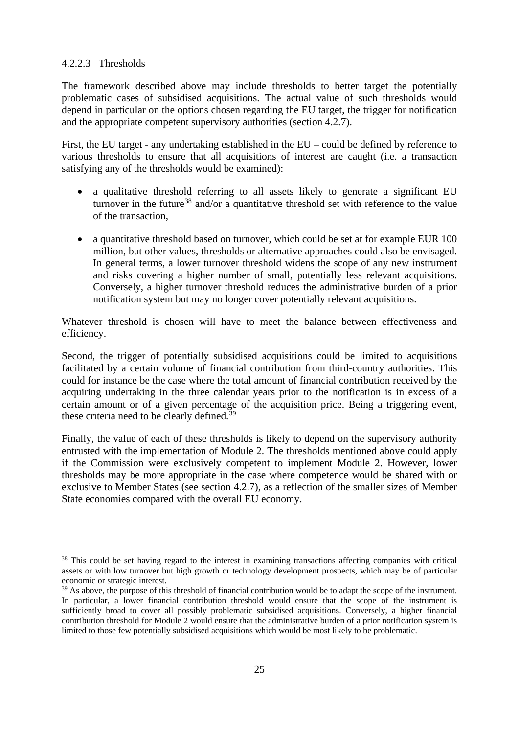#### 4.2.2.3 Thresholds

The framework described above may include thresholds to better target the potentially problematic cases of subsidised acquisitions. The actual value of such thresholds would depend in particular on the options chosen regarding the EU target, the trigger for notification and the appropriate competent supervisory authorities (section 4.2.7).

First, the EU target - any undertaking established in the EU – could be defined by reference to various thresholds to ensure that all acquisitions of interest are caught (i.e. a transaction satisfying any of the thresholds would be examined):

- a qualitative threshold referring to all assets likely to generate a significant EU turnover in the future<sup>[38](#page-24-0)</sup> and/or a quantitative threshold set with reference to the value of the transaction,
- a quantitative threshold based on turnover, which could be set at for example EUR 100 million, but other values, thresholds or alternative approaches could also be envisaged. In general terms, a lower turnover threshold widens the scope of any new instrument and risks covering a higher number of small, potentially less relevant acquisitions. Conversely, a higher turnover threshold reduces the administrative burden of a prior notification system but may no longer cover potentially relevant acquisitions.

Whatever threshold is chosen will have to meet the balance between effectiveness and efficiency.

Second, the trigger of potentially subsidised acquisitions could be limited to acquisitions facilitated by a certain volume of financial contribution from third-country authorities. This could for instance be the case where the total amount of financial contribution received by the acquiring undertaking in the three calendar years prior to the notification is in excess of a certain amount or of a given percentage of the acquisition price. Being a triggering event, these criteria need to be clearly defined.<sup>[39](#page-24-1)</sup>

Finally, the value of each of these thresholds is likely to depend on the supervisory authority entrusted with the implementation of Module 2. The thresholds mentioned above could apply if the Commission were exclusively competent to implement Module 2. However, lower thresholds may be more appropriate in the case where competence would be shared with or exclusive to Member States (see section 4.2.7), as a reflection of the smaller sizes of Member State economies compared with the overall EU economy.

<span id="page-24-0"></span><sup>&</sup>lt;sup>38</sup> This could be set having regard to the interest in examining transactions affecting companies with critical assets or with low turnover but high growth or technology development prospects, which may be of particular economic or strategic interest.

<span id="page-24-1"></span><sup>&</sup>lt;sup>39</sup> As above, the purpose of this threshold of financial contribution would be to adapt the scope of the instrument. In particular, a lower financial contribution threshold would ensure that the scope of the instrument is sufficiently broad to cover all possibly problematic subsidised acquisitions. Conversely, a higher financial contribution threshold for Module 2 would ensure that the administrative burden of a prior notification system is limited to those few potentially subsidised acquisitions which would be most likely to be problematic.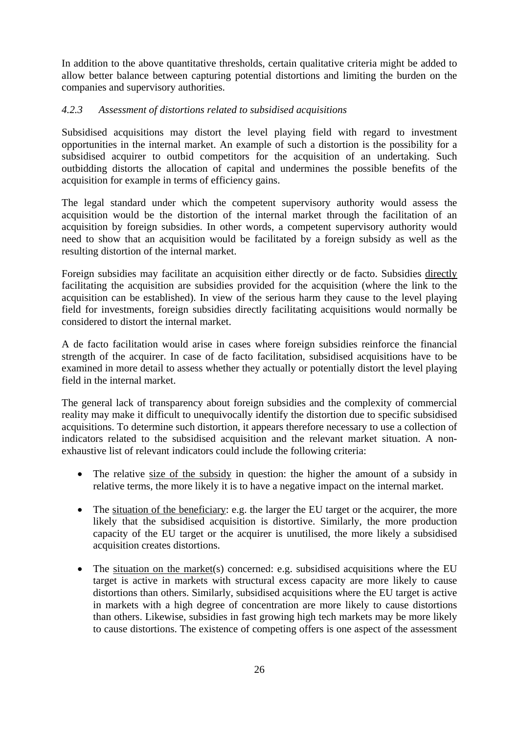In addition to the above quantitative thresholds, certain qualitative criteria might be added to allow better balance between capturing potential distortions and limiting the burden on the companies and supervisory authorities.

## <span id="page-25-0"></span>*4.2.3 Assessment of distortions related to subsidised acquisitions*

Subsidised acquisitions may distort the level playing field with regard to investment opportunities in the internal market. An example of such a distortion is the possibility for a subsidised acquirer to outbid competitors for the acquisition of an undertaking. Such outbidding distorts the allocation of capital and undermines the possible benefits of the acquisition for example in terms of efficiency gains.

The legal standard under which the competent supervisory authority would assess the acquisition would be the distortion of the internal market through the facilitation of an acquisition by foreign subsidies. In other words, a competent supervisory authority would need to show that an acquisition would be facilitated by a foreign subsidy as well as the resulting distortion of the internal market.

Foreign subsidies may facilitate an acquisition either directly or de facto. Subsidies directly facilitating the acquisition are subsidies provided for the acquisition (where the link to the acquisition can be established). In view of the serious harm they cause to the level playing field for investments, foreign subsidies directly facilitating acquisitions would normally be considered to distort the internal market.

A de facto facilitation would arise in cases where foreign subsidies reinforce the financial strength of the acquirer. In case of de facto facilitation, subsidised acquisitions have to be examined in more detail to assess whether they actually or potentially distort the level playing field in the internal market.

The general lack of transparency about foreign subsidies and the complexity of commercial reality may make it difficult to unequivocally identify the distortion due to specific subsidised acquisitions. To determine such distortion, it appears therefore necessary to use a collection of indicators related to the subsidised acquisition and the relevant market situation. A nonexhaustive list of relevant indicators could include the following criteria:

- The relative size of the subsidy in question: the higher the amount of a subsidy in relative terms, the more likely it is to have a negative impact on the internal market.
- The situation of the beneficiary: e.g. the larger the EU target or the acquirer, the more likely that the subsidised acquisition is distortive. Similarly, the more production capacity of the EU target or the acquirer is unutilised, the more likely a subsidised acquisition creates distortions.
- The situation on the market(s) concerned: e.g. subsidised acquisitions where the EU target is active in markets with structural excess capacity are more likely to cause distortions than others. Similarly, subsidised acquisitions where the EU target is active in markets with a high degree of concentration are more likely to cause distortions than others. Likewise, subsidies in fast growing high tech markets may be more likely to cause distortions. The existence of competing offers is one aspect of the assessment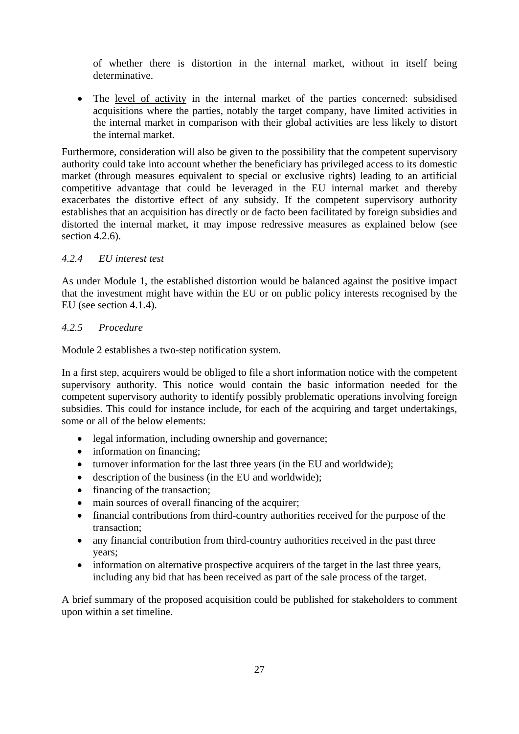of whether there is distortion in the internal market, without in itself being determinative.

• The level of activity in the internal market of the parties concerned: subsidised acquisitions where the parties, notably the target company, have limited activities in the internal market in comparison with their global activities are less likely to distort the internal market.

Furthermore, consideration will also be given to the possibility that the competent supervisory authority could take into account whether the beneficiary has privileged access to its domestic market (through measures equivalent to special or exclusive rights) leading to an artificial competitive advantage that could be leveraged in the EU internal market and thereby exacerbates the distortive effect of any subsidy. If the competent supervisory authority establishes that an acquisition has directly or de facto been facilitated by foreign subsidies and distorted the internal market, it may impose redressive measures as explained below (see section 4.2.6).

## <span id="page-26-0"></span>*4.2.4 EU interest test*

As under Module 1, the established distortion would be balanced against the positive impact that the investment might have within the EU or on public policy interests recognised by the EU (see section 4.1.4).

## <span id="page-26-1"></span>*4.2.5 Procedure*

Module 2 establishes a two-step notification system.

In a first step, acquirers would be obliged to file a short information notice with the competent supervisory authority. This notice would contain the basic information needed for the competent supervisory authority to identify possibly problematic operations involving foreign subsidies. This could for instance include, for each of the acquiring and target undertakings, some or all of the below elements:

- legal information, including ownership and governance;
- information on financing;
- turnover information for the last three years (in the EU and worldwide);
- description of the business (in the EU and worldwide):
- financing of the transaction;
- main sources of overall financing of the acquirer;
- financial contributions from third-country authorities received for the purpose of the transaction;
- any financial contribution from third-country authorities received in the past three years;
- information on alternative prospective acquirers of the target in the last three years, including any bid that has been received as part of the sale process of the target.

A brief summary of the proposed acquisition could be published for stakeholders to comment upon within a set timeline.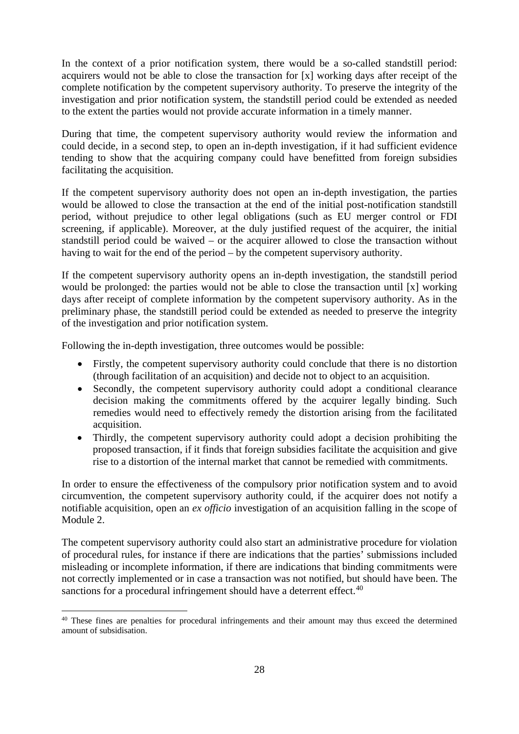In the context of a prior notification system, there would be a so-called standstill period: acquirers would not be able to close the transaction for [x] working days after receipt of the complete notification by the competent supervisory authority. To preserve the integrity of the investigation and prior notification system, the standstill period could be extended as needed to the extent the parties would not provide accurate information in a timely manner.

During that time, the competent supervisory authority would review the information and could decide, in a second step, to open an in-depth investigation, if it had sufficient evidence tending to show that the acquiring company could have benefitted from foreign subsidies facilitating the acquisition.

If the competent supervisory authority does not open an in-depth investigation, the parties would be allowed to close the transaction at the end of the initial post-notification standstill period, without prejudice to other legal obligations (such as EU merger control or FDI screening, if applicable). Moreover, at the duly justified request of the acquirer, the initial standstill period could be waived – or the acquirer allowed to close the transaction without having to wait for the end of the period – by the competent supervisory authority.

If the competent supervisory authority opens an in-depth investigation, the standstill period would be prolonged: the parties would not be able to close the transaction until [x] working days after receipt of complete information by the competent supervisory authority. As in the preliminary phase, the standstill period could be extended as needed to preserve the integrity of the investigation and prior notification system.

Following the in-depth investigation, three outcomes would be possible:

- Firstly, the competent supervisory authority could conclude that there is no distortion (through facilitation of an acquisition) and decide not to object to an acquisition.
- Secondly, the competent supervisory authority could adopt a conditional clearance decision making the commitments offered by the acquirer legally binding. Such remedies would need to effectively remedy the distortion arising from the facilitated acquisition.
- Thirdly, the competent supervisory authority could adopt a decision prohibiting the proposed transaction, if it finds that foreign subsidies facilitate the acquisition and give rise to a distortion of the internal market that cannot be remedied with commitments.

In order to ensure the effectiveness of the compulsory prior notification system and to avoid circumvention, the competent supervisory authority could, if the acquirer does not notify a notifiable acquisition, open an *ex officio* investigation of an acquisition falling in the scope of Module 2.

The competent supervisory authority could also start an administrative procedure for violation of procedural rules, for instance if there are indications that the parties' submissions included misleading or incomplete information, if there are indications that binding commitments were not correctly implemented or in case a transaction was not notified, but should have been. The sanctions for a procedural infringement should have a deterrent effect.<sup>[40](#page-27-0)</sup>

<span id="page-27-0"></span><sup>&</sup>lt;sup>40</sup> These fines are penalties for procedural infringements and their amount may thus exceed the determined amount of subsidisation.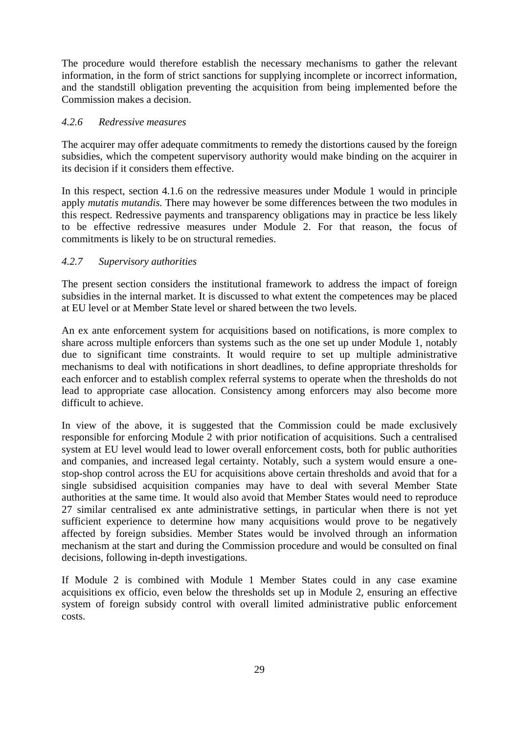The procedure would therefore establish the necessary mechanisms to gather the relevant information, in the form of strict sanctions for supplying incomplete or incorrect information, and the standstill obligation preventing the acquisition from being implemented before the Commission makes a decision.

#### <span id="page-28-0"></span>*4.2.6 Redressive measures*

The acquirer may offer adequate commitments to remedy the distortions caused by the foreign subsidies, which the competent supervisory authority would make binding on the acquirer in its decision if it considers them effective.

In this respect, section 4.1.6 on the redressive measures under Module 1 would in principle apply *mutatis mutandis.* There may however be some differences between the two modules in this respect. Redressive payments and transparency obligations may in practice be less likely to be effective redressive measures under Module 2. For that reason, the focus of commitments is likely to be on structural remedies.

## <span id="page-28-1"></span>*4.2.7 Supervisory authorities*

The present section considers the institutional framework to address the impact of foreign subsidies in the internal market. It is discussed to what extent the competences may be placed at EU level or at Member State level or shared between the two levels.

An ex ante enforcement system for acquisitions based on notifications, is more complex to share across multiple enforcers than systems such as the one set up under Module 1, notably due to significant time constraints. It would require to set up multiple administrative mechanisms to deal with notifications in short deadlines, to define appropriate thresholds for each enforcer and to establish complex referral systems to operate when the thresholds do not lead to appropriate case allocation. Consistency among enforcers may also become more difficult to achieve.

In view of the above, it is suggested that the Commission could be made exclusively responsible for enforcing Module 2 with prior notification of acquisitions. Such a centralised system at EU level would lead to lower overall enforcement costs, both for public authorities and companies, and increased legal certainty. Notably, such a system would ensure a onestop-shop control across the EU for acquisitions above certain thresholds and avoid that for a single subsidised acquisition companies may have to deal with several Member State authorities at the same time. It would also avoid that Member States would need to reproduce 27 similar centralised ex ante administrative settings, in particular when there is not yet sufficient experience to determine how many acquisitions would prove to be negatively affected by foreign subsidies. Member States would be involved through an information mechanism at the start and during the Commission procedure and would be consulted on final decisions, following in-depth investigations.

If Module 2 is combined with Module 1 Member States could in any case examine acquisitions ex officio, even below the thresholds set up in Module 2, ensuring an effective system of foreign subsidy control with overall limited administrative public enforcement costs.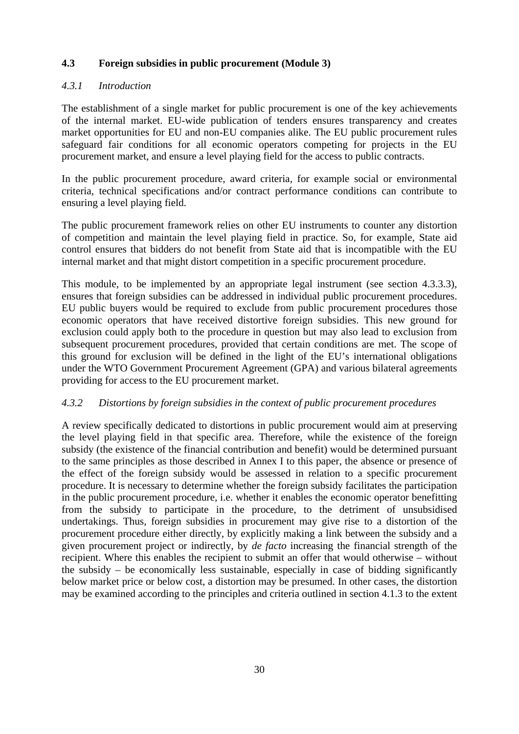## <span id="page-29-0"></span>**4.3 Foreign subsidies in public procurement (Module 3)**

## <span id="page-29-1"></span>*4.3.1 Introduction*

The establishment of a single market for public procurement is one of the key achievements of the internal market. EU-wide publication of tenders ensures transparency and creates market opportunities for EU and non-EU companies alike. The EU public procurement rules safeguard fair conditions for all economic operators competing for projects in the EU procurement market, and ensure a level playing field for the access to public contracts.

In the public procurement procedure, award criteria, for example social or environmental criteria, technical specifications and/or contract performance conditions can contribute to ensuring a level playing field.

The public procurement framework relies on other EU instruments to counter any distortion of competition and maintain the level playing field in practice. So, for example, State aid control ensures that bidders do not benefit from State aid that is incompatible with the EU internal market and that might distort competition in a specific procurement procedure.

This module, to be implemented by an appropriate legal instrument (see section 4.3.3.3), ensures that foreign subsidies can be addressed in individual public procurement procedures. EU public buyers would be required to exclude from public procurement procedures those economic operators that have received distortive foreign subsidies. This new ground for exclusion could apply both to the procedure in question but may also lead to exclusion from subsequent procurement procedures, provided that certain conditions are met. The scope of this ground for exclusion will be defined in the light of the EU's international obligations under the WTO Government Procurement Agreement (GPA) and various bilateral agreements providing for access to the EU procurement market.

#### <span id="page-29-2"></span>*4.3.2 Distortions by foreign subsidies in the context of public procurement procedures*

A review specifically dedicated to distortions in public procurement would aim at preserving the level playing field in that specific area. Therefore, while the existence of the foreign subsidy (the existence of the financial contribution and benefit) would be determined pursuant to the same principles as those described in Annex I to this paper, the absence or presence of the effect of the foreign subsidy would be assessed in relation to a specific procurement procedure. It is necessary to determine whether the foreign subsidy facilitates the participation in the public procurement procedure, i.e. whether it enables the economic operator benefitting from the subsidy to participate in the procedure, to the detriment of unsubsidised undertakings. Thus, foreign subsidies in procurement may give rise to a distortion of the procurement procedure either directly, by explicitly making a link between the subsidy and a given procurement project or indirectly, by *de facto* increasing the financial strength of the recipient. Where this enables the recipient to submit an offer that would otherwise – without the subsidy – be economically less sustainable, especially in case of bidding significantly below market price or below cost, a distortion may be presumed. In other cases, the distortion may be examined according to the principles and criteria outlined in section 4.1.3 to the extent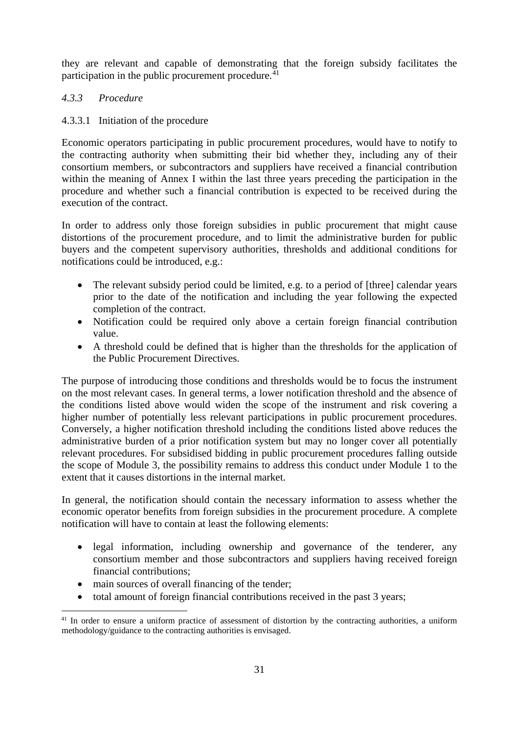they are relevant and capable of demonstrating that the foreign subsidy facilitates the participation in the public procurement procedure. $41$ 

## <span id="page-30-0"></span>*4.3.3 Procedure*

## 4.3.3.1 Initiation of the procedure

Economic operators participating in public procurement procedures, would have to notify to the contracting authority when submitting their bid whether they, including any of their consortium members, or subcontractors and suppliers have received a financial contribution within the meaning of Annex I within the last three years preceding the participation in the procedure and whether such a financial contribution is expected to be received during the execution of the contract.

In order to address only those foreign subsidies in public procurement that might cause distortions of the procurement procedure, and to limit the administrative burden for public buyers and the competent supervisory authorities, thresholds and additional conditions for notifications could be introduced, e.g.:

- The relevant subsidy period could be limited, e.g. to a period of [three] calendar years prior to the date of the notification and including the year following the expected completion of the contract.
- Notification could be required only above a certain foreign financial contribution value.
- A threshold could be defined that is higher than the thresholds for the application of the Public Procurement Directives.

The purpose of introducing those conditions and thresholds would be to focus the instrument on the most relevant cases. In general terms, a lower notification threshold and the absence of the conditions listed above would widen the scope of the instrument and risk covering a higher number of potentially less relevant participations in public procurement procedures. Conversely, a higher notification threshold including the conditions listed above reduces the administrative burden of a prior notification system but may no longer cover all potentially relevant procedures. For subsidised bidding in public procurement procedures falling outside the scope of Module 3, the possibility remains to address this conduct under Module 1 to the extent that it causes distortions in the internal market.

In general, the notification should contain the necessary information to assess whether the economic operator benefits from foreign subsidies in the procurement procedure. A complete notification will have to contain at least the following elements:

- legal information, including ownership and governance of the tenderer, any consortium member and those subcontractors and suppliers having received foreign financial contributions;
- main sources of overall financing of the tender;
- total amount of foreign financial contributions received in the past 3 years;

<span id="page-30-1"></span><sup>&</sup>lt;sup>41</sup> In order to ensure a uniform practice of assessment of distortion by the contracting authorities, a uniform methodology/guidance to the contracting authorities is envisaged.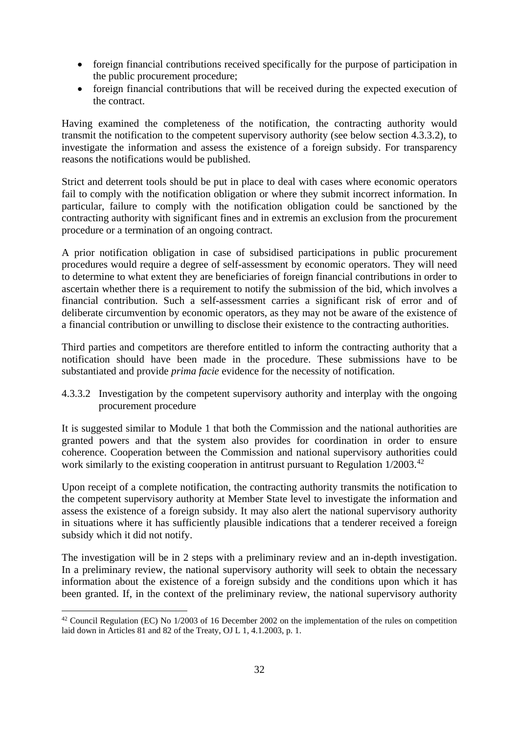- foreign financial contributions received specifically for the purpose of participation in the public procurement procedure;
- foreign financial contributions that will be received during the expected execution of the contract.

Having examined the completeness of the notification, the contracting authority would transmit the notification to the competent supervisory authority (see below section 4.3.3.2), to investigate the information and assess the existence of a foreign subsidy. For transparency reasons the notifications would be published.

Strict and deterrent tools should be put in place to deal with cases where economic operators fail to comply with the notification obligation or where they submit incorrect information. In particular, failure to comply with the notification obligation could be sanctioned by the contracting authority with significant fines and in extremis an exclusion from the procurement procedure or a termination of an ongoing contract.

A prior notification obligation in case of subsidised participations in public procurement procedures would require a degree of self-assessment by economic operators. They will need to determine to what extent they are beneficiaries of foreign financial contributions in order to ascertain whether there is a requirement to notify the submission of the bid, which involves a financial contribution. Such a self-assessment carries a significant risk of error and of deliberate circumvention by economic operators, as they may not be aware of the existence of a financial contribution or unwilling to disclose their existence to the contracting authorities.

Third parties and competitors are therefore entitled to inform the contracting authority that a notification should have been made in the procedure. These submissions have to be substantiated and provide *prima facie* evidence for the necessity of notification.

4.3.3.2 Investigation by the competent supervisory authority and interplay with the ongoing procurement procedure

It is suggested similar to Module 1 that both the Commission and the national authorities are granted powers and that the system also provides for coordination in order to ensure coherence. Cooperation between the Commission and national supervisory authorities could work similarly to the existing cooperation in antitrust pursuant to Regulation 1/2003.<sup>[42](#page-31-0)</sup>

Upon receipt of a complete notification, the contracting authority transmits the notification to the competent supervisory authority at Member State level to investigate the information and assess the existence of a foreign subsidy. It may also alert the national supervisory authority in situations where it has sufficiently plausible indications that a tenderer received a foreign subsidy which it did not notify.

The investigation will be in 2 steps with a preliminary review and an in-depth investigation. In a preliminary review, the national supervisory authority will seek to obtain the necessary information about the existence of a foreign subsidy and the conditions upon which it has been granted. If, in the context of the preliminary review, the national supervisory authority

<span id="page-31-0"></span><sup>&</sup>lt;sup>42</sup> Council Regulation (EC) No 1/2003 of 16 December 2002 on the implementation of the rules on competition laid down in Articles 81 and 82 of the Treaty, OJ L 1, 4.1.2003, p. 1.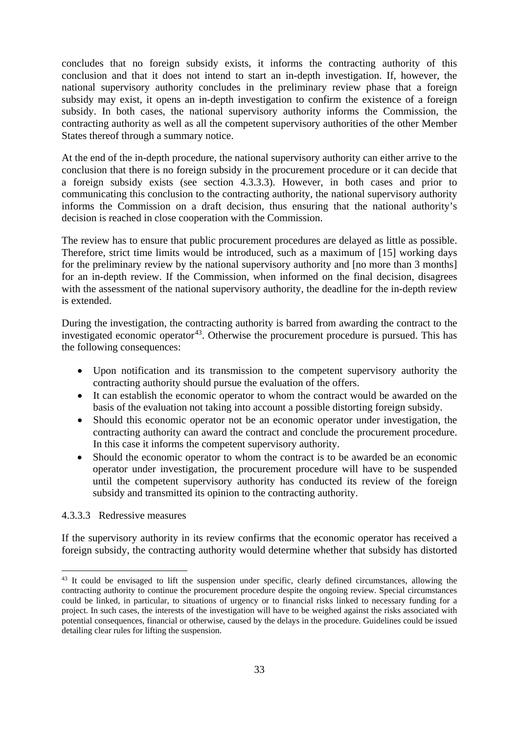concludes that no foreign subsidy exists, it informs the contracting authority of this conclusion and that it does not intend to start an in-depth investigation. If, however, the national supervisory authority concludes in the preliminary review phase that a foreign subsidy may exist, it opens an in-depth investigation to confirm the existence of a foreign subsidy. In both cases, the national supervisory authority informs the Commission, the contracting authority as well as all the competent supervisory authorities of the other Member States thereof through a summary notice.

At the end of the in-depth procedure, the national supervisory authority can either arrive to the conclusion that there is no foreign subsidy in the procurement procedure or it can decide that a foreign subsidy exists (see section 4.3.3.3). However, in both cases and prior to communicating this conclusion to the contracting authority, the national supervisory authority informs the Commission on a draft decision, thus ensuring that the national authority's decision is reached in close cooperation with the Commission.

The review has to ensure that public procurement procedures are delayed as little as possible. Therefore, strict time limits would be introduced, such as a maximum of [15] working days for the preliminary review by the national supervisory authority and [no more than 3 months] for an in-depth review. If the Commission, when informed on the final decision, disagrees with the assessment of the national supervisory authority, the deadline for the in-depth review is extended.

During the investigation, the contracting authority is barred from awarding the contract to the investigated economic operator<sup>43</sup>. Otherwise the procurement procedure is pursued. This has the following consequences:

- Upon notification and its transmission to the competent supervisory authority the contracting authority should pursue the evaluation of the offers.
- It can establish the economic operator to whom the contract would be awarded on the basis of the evaluation not taking into account a possible distorting foreign subsidy.
- Should this economic operator not be an economic operator under investigation, the contracting authority can award the contract and conclude the procurement procedure. In this case it informs the competent supervisory authority.
- Should the economic operator to whom the contract is to be awarded be an economic operator under investigation, the procurement procedure will have to be suspended until the competent supervisory authority has conducted its review of the foreign subsidy and transmitted its opinion to the contracting authority.

#### 4.3.3.3 Redressive measures

If the supervisory authority in its review confirms that the economic operator has received a foreign subsidy, the contracting authority would determine whether that subsidy has distorted

<span id="page-32-0"></span><sup>&</sup>lt;sup>43</sup> It could be envisaged to lift the suspension under specific, clearly defined circumstances, allowing the contracting authority to continue the procurement procedure despite the ongoing review. Special circumstances could be linked, in particular, to situations of urgency or to financial risks linked to necessary funding for a project. In such cases, the interests of the investigation will have to be weighed against the risks associated with potential consequences, financial or otherwise, caused by the delays in the procedure. Guidelines could be issued detailing clear rules for lifting the suspension.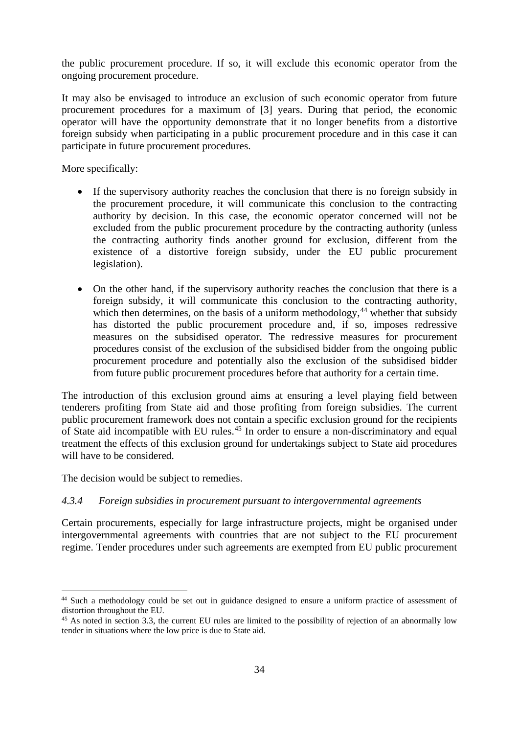the public procurement procedure. If so, it will exclude this economic operator from the ongoing procurement procedure.

It may also be envisaged to introduce an exclusion of such economic operator from future procurement procedures for a maximum of [3] years. During that period, the economic operator will have the opportunity demonstrate that it no longer benefits from a distortive foreign subsidy when participating in a public procurement procedure and in this case it can participate in future procurement procedures.

More specifically:

- If the supervisory authority reaches the conclusion that there is no foreign subsidy in the procurement procedure, it will communicate this conclusion to the contracting authority by decision. In this case, the economic operator concerned will not be excluded from the public procurement procedure by the contracting authority (unless the contracting authority finds another ground for exclusion, different from the existence of a distortive foreign subsidy, under the EU public procurement legislation).
- On the other hand, if the supervisory authority reaches the conclusion that there is a foreign subsidy, it will communicate this conclusion to the contracting authority, which then determines, on the basis of a uniform methodology, $44$  whether that subsidy has distorted the public procurement procedure and, if so, imposes redressive measures on the subsidised operator. The redressive measures for procurement procedures consist of the exclusion of the subsidised bidder from the ongoing public procurement procedure and potentially also the exclusion of the subsidised bidder from future public procurement procedures before that authority for a certain time.

The introduction of this exclusion ground aims at ensuring a level playing field between tenderers profiting from State aid and those profiting from foreign subsidies. The current public procurement framework does not contain a specific exclusion ground for the recipients of State aid incompatible with EU rules.<sup>[45](#page-33-2)</sup> In order to ensure a non-discriminatory and equal treatment the effects of this exclusion ground for undertakings subject to State aid procedures will have to be considered.

The decision would be subject to remedies.

#### <span id="page-33-0"></span>*4.3.4 Foreign subsidies in procurement pursuant to intergovernmental agreements*

Certain procurements, especially for large infrastructure projects, might be organised under intergovernmental agreements with countries that are not subject to the EU procurement regime. Tender procedures under such agreements are exempted from EU public procurement

<span id="page-33-1"></span><sup>&</sup>lt;sup>44</sup> Such a methodology could be set out in guidance designed to ensure a uniform practice of assessment of distortion throughout the EU.

<span id="page-33-2"></span><sup>&</sup>lt;sup>45</sup> As noted in section 3.3, the current EU rules are limited to the possibility of rejection of an abnormally low tender in situations where the low price is due to State aid.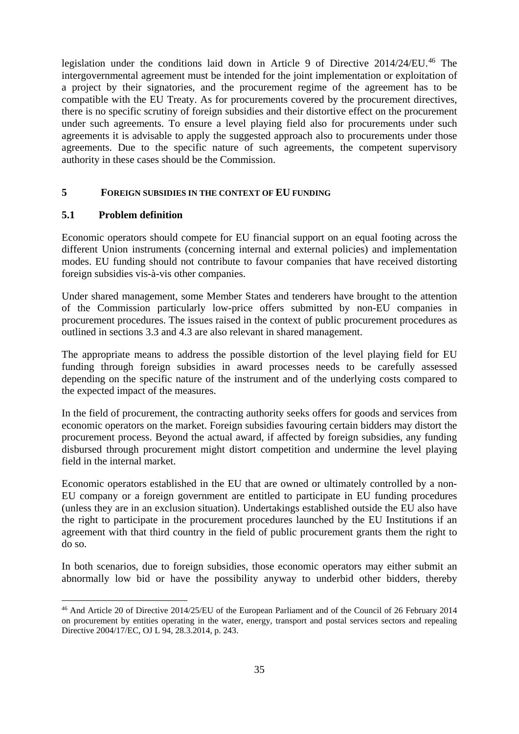legislation under the conditions laid down in Article 9 of Directive 2014/24/EU.<sup>[46](#page-34-2)</sup> The intergovernmental agreement must be intended for the joint implementation or exploitation of a project by their signatories, and the procurement regime of the agreement has to be compatible with the EU Treaty. As for procurements covered by the procurement directives, there is no specific scrutiny of foreign subsidies and their distortive effect on the procurement under such agreements. To ensure a level playing field also for procurements under such agreements it is advisable to apply the suggested approach also to procurements under those agreements. Due to the specific nature of such agreements, the competent supervisory authority in these cases should be the Commission.

#### <span id="page-34-0"></span>**5 FOREIGN SUBSIDIES IN THE CONTEXT OF EU FUNDING**

#### <span id="page-34-1"></span>**5.1 Problem definition**

Economic operators should compete for EU financial support on an equal footing across the different Union instruments (concerning internal and external policies) and implementation modes. EU funding should not contribute to favour companies that have received distorting foreign subsidies vis-à-vis other companies.

Under shared management, some Member States and tenderers have brought to the attention of the Commission particularly low-price offers submitted by non-EU companies in procurement procedures. The issues raised in the context of public procurement procedures as outlined in sections 3.3 and 4.3 are also relevant in shared management.

The appropriate means to address the possible distortion of the level playing field for EU funding through foreign subsidies in award processes needs to be carefully assessed depending on the specific nature of the instrument and of the underlying costs compared to the expected impact of the measures.

In the field of procurement, the contracting authority seeks offers for goods and services from economic operators on the market. Foreign subsidies favouring certain bidders may distort the procurement process. Beyond the actual award, if affected by foreign subsidies, any funding disbursed through procurement might distort competition and undermine the level playing field in the internal market.

Economic operators established in the EU that are owned or ultimately controlled by a non-EU company or a foreign government are entitled to participate in EU funding procedures (unless they are in an exclusion situation). Undertakings established outside the EU also have the right to participate in the procurement procedures launched by the EU Institutions if an agreement with that third country in the field of public procurement grants them the right to do so.

In both scenarios, due to foreign subsidies, those economic operators may either submit an abnormally low bid or have the possibility anyway to underbid other bidders, thereby

<span id="page-34-2"></span> <sup>46</sup> And Article 20 of Directive 2014/25/EU of the European Parliament and of the Council of 26 February 2014 on procurement by entities operating in the water, energy, transport and postal services sectors and repealing Directive 2004/17/EC, OJ L 94, 28.3.2014, p. 243.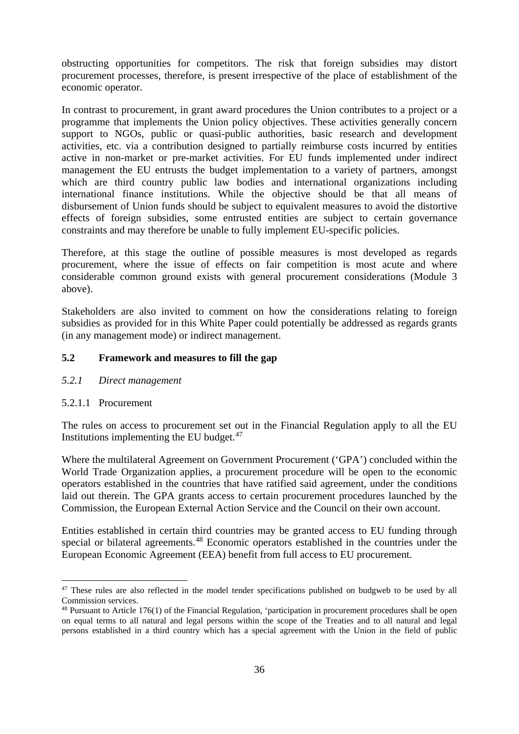obstructing opportunities for competitors. The risk that foreign subsidies may distort procurement processes, therefore, is present irrespective of the place of establishment of the economic operator.

In contrast to procurement, in grant award procedures the Union contributes to a project or a programme that implements the Union policy objectives. These activities generally concern support to NGOs, public or quasi-public authorities, basic research and development activities, etc. via a contribution designed to partially reimburse costs incurred by entities active in non-market or pre-market activities. For EU funds implemented under indirect management the EU entrusts the budget implementation to a variety of partners, amongst which are third country public law bodies and international organizations including international finance institutions. While the objective should be that all means of disbursement of Union funds should be subject to equivalent measures to avoid the distortive effects of foreign subsidies, some entrusted entities are subject to certain governance constraints and may therefore be unable to fully implement EU-specific policies.

Therefore, at this stage the outline of possible measures is most developed as regards procurement, where the issue of effects on fair competition is most acute and where considerable common ground exists with general procurement considerations (Module 3 above).

Stakeholders are also invited to comment on how the considerations relating to foreign subsidies as provided for in this White Paper could potentially be addressed as regards grants (in any management mode) or indirect management.

#### <span id="page-35-0"></span>**5.2 Framework and measures to fill the gap**

#### <span id="page-35-1"></span>*5.2.1 Direct management*

#### 5.2.1.1 Procurement

The rules on access to procurement set out in the Financial Regulation apply to all the EU Institutions implementing the EU budget. $47$ 

Where the multilateral Agreement on Government Procurement ('GPA') concluded within the World Trade Organization applies, a procurement procedure will be open to the economic operators established in the countries that have ratified said agreement, under the conditions laid out therein. The GPA grants access to certain procurement procedures launched by the Commission, the European External Action Service and the Council on their own account.

Entities established in certain third countries may be granted access to EU funding through special or bilateral agreements.<sup>[48](#page-35-3)</sup> Economic operators established in the countries under the European Economic Agreement (EEA) benefit from full access to EU procurement.

<span id="page-35-2"></span><sup>&</sup>lt;sup>47</sup> These rules are also reflected in the model tender specifications published on budgweb to be used by all Commission services.

<span id="page-35-3"></span> $48$  Pursuant to Article 176(1) of the Financial Regulation, 'participation in procurement procedures shall be open on equal terms to all natural and legal persons within the scope of the Treaties and to all natural and legal persons established in a third country which has a special agreement with the Union in the field of public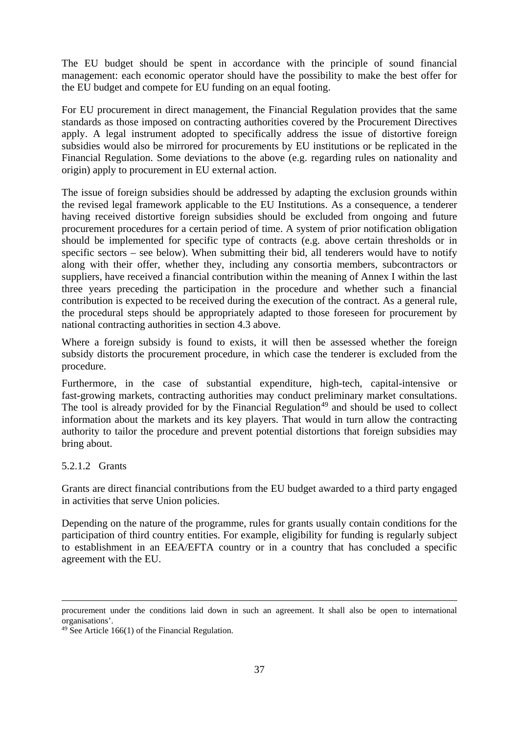The EU budget should be spent in accordance with the principle of sound financial management: each economic operator should have the possibility to make the best offer for the EU budget and compete for EU funding on an equal footing.

For EU procurement in direct management, the Financial Regulation provides that the same standards as those imposed on contracting authorities covered by the Procurement Directives apply. A legal instrument adopted to specifically address the issue of distortive foreign subsidies would also be mirrored for procurements by EU institutions or be replicated in the Financial Regulation. Some deviations to the above (e.g. regarding rules on nationality and origin) apply to procurement in EU external action.

The issue of foreign subsidies should be addressed by adapting the exclusion grounds within the revised legal framework applicable to the EU Institutions. As a consequence, a tenderer having received distortive foreign subsidies should be excluded from ongoing and future procurement procedures for a certain period of time. A system of prior notification obligation should be implemented for specific type of contracts (e.g. above certain thresholds or in specific sectors – see below). When submitting their bid, all tenderers would have to notify along with their offer, whether they, including any consortia members, subcontractors or suppliers, have received a financial contribution within the meaning of Annex I within the last three years preceding the participation in the procedure and whether such a financial contribution is expected to be received during the execution of the contract. As a general rule, the procedural steps should be appropriately adapted to those foreseen for procurement by national contracting authorities in section 4.3 above.

Where a foreign subsidy is found to exists, it will then be assessed whether the foreign subsidy distorts the procurement procedure, in which case the tenderer is excluded from the procedure.

Furthermore, in the case of substantial expenditure, high-tech, capital-intensive or fast-growing markets, contracting authorities may conduct preliminary market consultations. The tool is already provided for by the Financial Regulation<sup> $49$ </sup> and should be used to collect information about the markets and its key players. That would in turn allow the contracting authority to tailor the procedure and prevent potential distortions that foreign subsidies may bring about.

#### 5.2.1.2 Grants

Grants are direct financial contributions from the EU budget awarded to a third party engaged in activities that serve Union policies.

Depending on the nature of the programme, rules for grants usually contain conditions for the participation of third country entities. For example, eligibility for funding is regularly subject to establishment in an EEA/EFTA country or in a country that has concluded a specific agreement with the EU.

procurement under the conditions laid down in such an agreement. It shall also be open to international organisations'.

<span id="page-36-0"></span> $49$  See Article 166(1) of the Financial Regulation.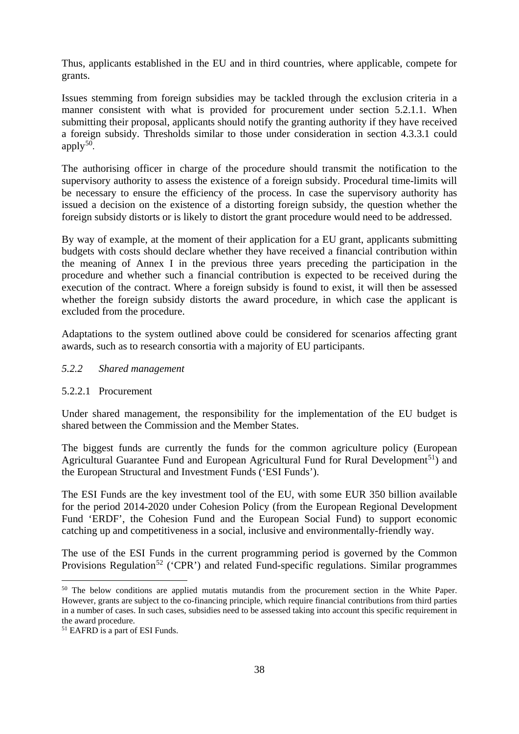Thus, applicants established in the EU and in third countries, where applicable, compete for grants.

Issues stemming from foreign subsidies may be tackled through the exclusion criteria in a manner consistent with what is provided for procurement under section 5.2.1.1. When submitting their proposal, applicants should notify the granting authority if they have received a foreign subsidy. Thresholds similar to those under consideration in section 4.3.3.1 could apply $50$ .

The authorising officer in charge of the procedure should transmit the notification to the supervisory authority to assess the existence of a foreign subsidy. Procedural time-limits will be necessary to ensure the efficiency of the process. In case the supervisory authority has issued a decision on the existence of a distorting foreign subsidy, the question whether the foreign subsidy distorts or is likely to distort the grant procedure would need to be addressed.

By way of example, at the moment of their application for a EU grant, applicants submitting budgets with costs should declare whether they have received a financial contribution within the meaning of Annex I in the previous three years preceding the participation in the procedure and whether such a financial contribution is expected to be received during the execution of the contract. Where a foreign subsidy is found to exist, it will then be assessed whether the foreign subsidy distorts the award procedure, in which case the applicant is excluded from the procedure.

Adaptations to the system outlined above could be considered for scenarios affecting grant awards, such as to research consortia with a majority of EU participants.

#### <span id="page-37-0"></span>*5.2.2 Shared management*

#### 5.2.2.1 Procurement

Under shared management, the responsibility for the implementation of the EU budget is shared between the Commission and the Member States.

The biggest funds are currently the funds for the common agriculture policy (European Agricultural Guarantee Fund and European Agricultural Fund for Rural Development<sup>[51](#page-37-2)</sup>) and the European Structural and Investment Funds ('ESI Funds').

The ESI Funds are the key investment tool of the EU, with some EUR 350 billion available for the period 2014-2020 under Cohesion Policy (from the European Regional Development Fund 'ERDF', the Cohesion Fund and the European Social Fund) to support economic catching up and competitiveness in a social, inclusive and environmentally-friendly way.

<span id="page-37-3"></span>The use of the ESI Funds in the current programming period is governed by the Common Provisions Regulation<sup>[52](#page-37-3)</sup> ('CPR') and related Fund-specific regulations. Similar programmes

<span id="page-37-1"></span><sup>&</sup>lt;sup>50</sup> The below conditions are applied mutatis mutandis from the procurement section in the White Paper. However, grants are subject to the co-financing principle, which require financial contributions from third parties in a number of cases. In such cases, subsidies need to be assessed taking into account this specific requirement in the award procedure.

<span id="page-37-2"></span><sup>51</sup> EAFRD is a part of ESI Funds.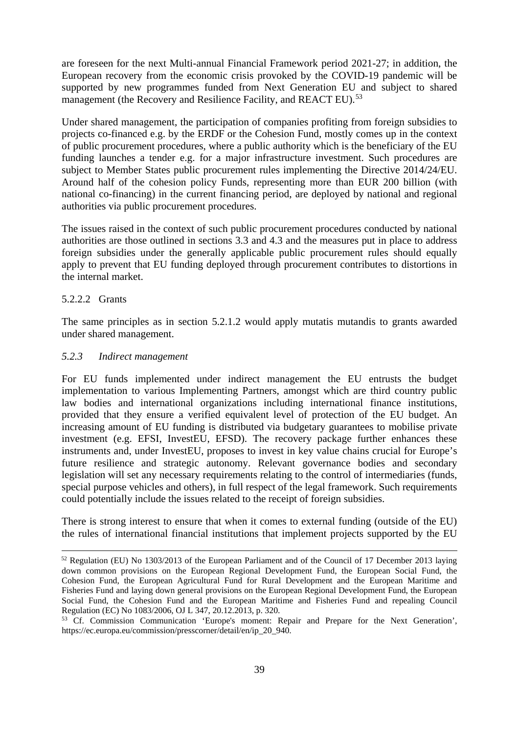are foreseen for the next Multi-annual Financial Framework period 2021-27; in addition, the European recovery from the economic crisis provoked by the COVID-19 pandemic will be supported by new programmes funded from Next Generation EU and subject to shared management (the Recovery and Resilience Facility, and REACT EU).<sup>[53](#page-38-1)</sup>

Under shared management, the participation of companies profiting from foreign subsidies to projects co-financed e.g. by the ERDF or the Cohesion Fund, mostly comes up in the context of public procurement procedures, where a public authority which is the beneficiary of the EU funding launches a tender e.g. for a major infrastructure investment. Such procedures are subject to Member States public procurement rules implementing the Directive 2014/24/EU. Around half of the cohesion policy Funds, representing more than EUR 200 billion (with national co-financing) in the current financing period, are deployed by national and regional authorities via public procurement procedures.

The issues raised in the context of such public procurement procedures conducted by national authorities are those outlined in sections 3.3 and 4.3 and the measures put in place to address foreign subsidies under the generally applicable public procurement rules should equally apply to prevent that EU funding deployed through procurement contributes to distortions in the internal market.

#### 5.2.2.2 Grants

The same principles as in section 5.2.1.2 would apply mutatis mutandis to grants awarded under shared management.

#### <span id="page-38-0"></span>*5.2.3 Indirect management*

For EU funds implemented under indirect management the EU entrusts the budget implementation to various Implementing Partners, amongst which are third country public law bodies and international organizations including international finance institutions, provided that they ensure a verified equivalent level of protection of the EU budget. An increasing amount of EU funding is distributed via budgetary guarantees to mobilise private investment (e.g. EFSI, InvestEU, EFSD). The recovery package further enhances these instruments and, under InvestEU, proposes to invest in key value chains crucial for Europe's future resilience and strategic autonomy. Relevant governance bodies and secondary legislation will set any necessary requirements relating to the control of intermediaries (funds, special purpose vehicles and others), in full respect of the legal framework. Such requirements could potentially include the issues related to the receipt of foreign subsidies.

There is strong interest to ensure that when it comes to external funding (outside of the EU) the rules of international financial institutions that implement projects supported by the EU

 <sup>52</sup> Regulation (EU) No 1303/2013 of the European Parliament and of the Council of 17 December 2013 laying down common provisions on the European Regional Development Fund, the European Social Fund, the Cohesion Fund, the European Agricultural Fund for Rural Development and the European Maritime and Fisheries Fund and laying down general provisions on the European Regional Development Fund, the European Social Fund, the Cohesion Fund and the European Maritime and Fisheries Fund and repealing Council Regulation (EC) No 1083/2006, OJ L 347, 20.12.2013, p. 320.

<span id="page-38-1"></span><sup>&</sup>lt;sup>53</sup> Cf. Commission Communication 'Europe's moment: Repair and Prepare for the Next Generation', https://ec.europa.eu/commission/presscorner/detail/en/ip\_20\_940.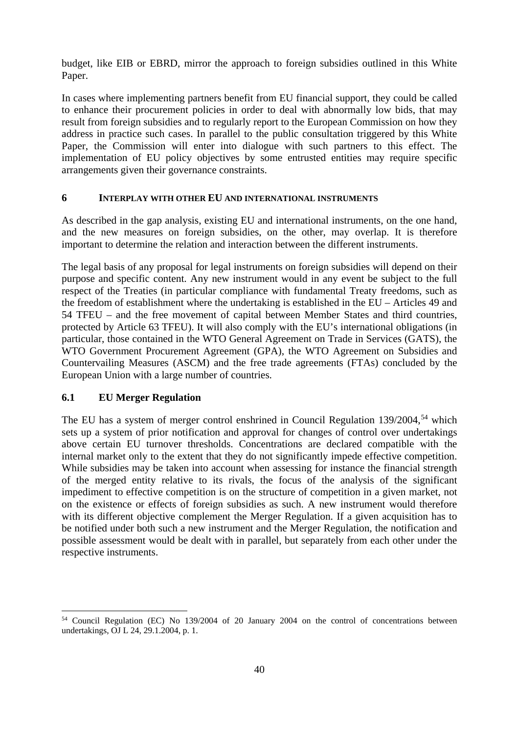budget, like EIB or EBRD, mirror the approach to foreign subsidies outlined in this White Paper.

In cases where implementing partners benefit from EU financial support, they could be called to enhance their procurement policies in order to deal with abnormally low bids, that may result from foreign subsidies and to regularly report to the European Commission on how they address in practice such cases. In parallel to the public consultation triggered by this White Paper, the Commission will enter into dialogue with such partners to this effect. The implementation of EU policy objectives by some entrusted entities may require specific arrangements given their governance constraints.

#### <span id="page-39-0"></span>**6 INTERPLAY WITH OTHER EU AND INTERNATIONAL INSTRUMENTS**

As described in the gap analysis, existing EU and international instruments, on the one hand, and the new measures on foreign subsidies, on the other, may overlap. It is therefore important to determine the relation and interaction between the different instruments.

The legal basis of any proposal for legal instruments on foreign subsidies will depend on their purpose and specific content. Any new instrument would in any event be subject to the full respect of the Treaties (in particular compliance with fundamental Treaty freedoms, such as the freedom of establishment where the undertaking is established in the EU – Articles 49 and 54 TFEU – and the free movement of capital between Member States and third countries, protected by Article 63 TFEU). It will also comply with the EU's international obligations (in particular, those contained in the WTO General Agreement on Trade in Services (GATS), the WTO Government Procurement Agreement (GPA), the WTO Agreement on Subsidies and Countervailing Measures (ASCM) and the free trade agreements (FTAs) concluded by the European Union with a large number of countries.

#### <span id="page-39-1"></span>**6.1 EU Merger Regulation**

The EU has a system of merger control enshrined in Council Regulation  $139/2004$ ,<sup>[54](#page-39-2)</sup> which sets up a system of prior notification and approval for changes of control over undertakings above certain EU turnover thresholds. Concentrations are declared compatible with the internal market only to the extent that they do not significantly impede effective competition. While subsidies may be taken into account when assessing for instance the financial strength of the merged entity relative to its rivals, the focus of the analysis of the significant impediment to effective competition is on the structure of competition in a given market, not on the existence or effects of foreign subsidies as such. A new instrument would therefore with its different objective complement the Merger Regulation. If a given acquisition has to be notified under both such a new instrument and the Merger Regulation, the notification and possible assessment would be dealt with in parallel, but separately from each other under the respective instruments.

<span id="page-39-2"></span> <sup>54</sup> Council Regulation (EC) No 139/2004 of 20 January 2004 on the control of concentrations between undertakings, OJ L 24, 29.1.2004, p. 1.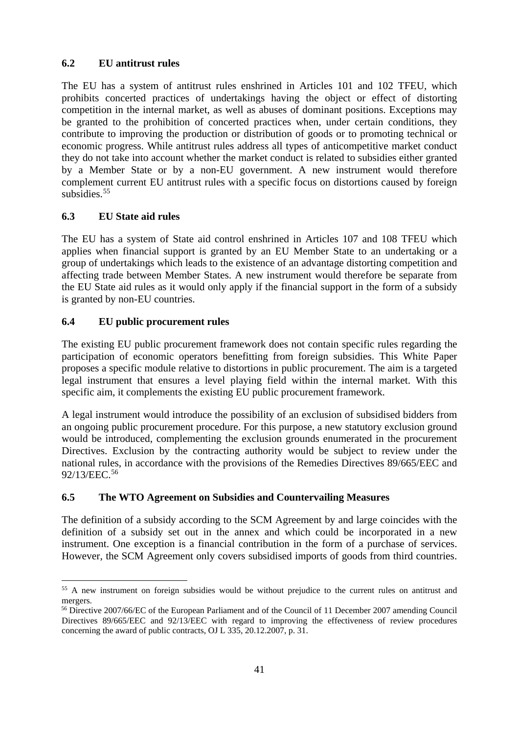# <span id="page-40-0"></span>**6.2 EU antitrust rules**

The EU has a system of antitrust rules enshrined in Articles 101 and 102 TFEU, which prohibits concerted practices of undertakings having the object or effect of distorting competition in the internal market, as well as abuses of dominant positions. Exceptions may be granted to the prohibition of concerted practices when, under certain conditions, they contribute to improving the production or distribution of goods or to promoting technical or economic progress. While antitrust rules address all types of anticompetitive market conduct they do not take into account whether the market conduct is related to subsidies either granted by a Member State or by a non-EU government. A new instrument would therefore complement current EU antitrust rules with a specific focus on distortions caused by foreign subsidies.<sup>[55](#page-40-4)</sup>

# <span id="page-40-1"></span>**6.3 EU State aid rules**

The EU has a system of State aid control enshrined in Articles 107 and 108 TFEU which applies when financial support is granted by an EU Member State to an undertaking or a group of undertakings which leads to the existence of an advantage distorting competition and affecting trade between Member States. A new instrument would therefore be separate from the EU State aid rules as it would only apply if the financial support in the form of a subsidy is granted by non-EU countries.

# <span id="page-40-2"></span>**6.4 EU public procurement rules**

The existing EU public procurement framework does not contain specific rules regarding the participation of economic operators benefitting from foreign subsidies. This White Paper proposes a specific module relative to distortions in public procurement. The aim is a targeted legal instrument that ensures a level playing field within the internal market. With this specific aim, it complements the existing EU public procurement framework.

A legal instrument would introduce the possibility of an exclusion of subsidised bidders from an ongoing public procurement procedure. For this purpose, a new statutory exclusion ground would be introduced, complementing the exclusion grounds enumerated in the procurement Directives. Exclusion by the contracting authority would be subject to review under the national rules, in accordance with the provisions of the Remedies Directives 89/665/EEC and 92/13/EEC.[56](#page-40-5)

# <span id="page-40-3"></span>**6.5 The WTO Agreement on Subsidies and Countervailing Measures**

The definition of a subsidy according to the SCM Agreement by and large coincides with the definition of a subsidy set out in the annex and which could be incorporated in a new instrument. One exception is a financial contribution in the form of a purchase of services. However, the SCM Agreement only covers subsidised imports of goods from third countries.

<span id="page-40-4"></span><sup>&</sup>lt;sup>55</sup> A new instrument on foreign subsidies would be without prejudice to the current rules on antitrust and mergers.

<span id="page-40-5"></span><sup>56</sup> Directive 2007/66/EC of the European Parliament and of the Council of 11 December 2007 amending Council Directives 89/665/EEC and 92/13/EEC with regard to improving the effectiveness of review procedures concerning the award of public contracts, OJ L 335, 20.12.2007, p. 31.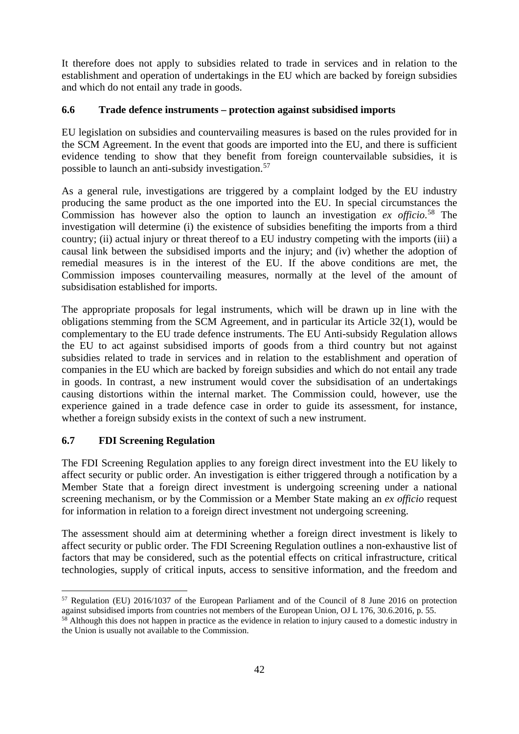It therefore does not apply to subsidies related to trade in services and in relation to the establishment and operation of undertakings in the EU which are backed by foreign subsidies and which do not entail any trade in goods.

## <span id="page-41-0"></span>**6.6 Trade defence instruments – protection against subsidised imports**

EU legislation on subsidies and countervailing measures is based on the rules provided for in the SCM Agreement. In the event that goods are imported into the EU, and there is sufficient evidence tending to show that they benefit from foreign countervailable subsidies, it is possible to launch an anti-subsidy investigation.[57](#page-41-2)

As a general rule, investigations are triggered by a complaint lodged by the EU industry producing the same product as the one imported into the EU. In special circumstances the Commission has however also the option to launch an investigation *ex officio*. [58](#page-41-3) The investigation will determine (i) the existence of subsidies benefiting the imports from a third country; (ii) actual injury or threat thereof to a EU industry competing with the imports (iii) a causal link between the subsidised imports and the injury; and (iv) whether the adoption of remedial measures is in the interest of the EU. If the above conditions are met, the Commission imposes countervailing measures, normally at the level of the amount of subsidisation established for imports.

The appropriate proposals for legal instruments, which will be drawn up in line with the obligations stemming from the SCM Agreement, and in particular its Article 32(1), would be complementary to the EU trade defence instruments. The EU Anti-subsidy Regulation allows the EU to act against subsidised imports of goods from a third country but not against subsidies related to trade in services and in relation to the establishment and operation of companies in the EU which are backed by foreign subsidies and which do not entail any trade in goods. In contrast, a new instrument would cover the subsidisation of an undertakings causing distortions within the internal market. The Commission could, however, use the experience gained in a trade defence case in order to guide its assessment, for instance, whether a foreign subsidy exists in the context of such a new instrument.

# <span id="page-41-1"></span>**6.7 FDI Screening Regulation**

The FDI Screening Regulation applies to any foreign direct investment into the EU likely to affect security or public order. An investigation is either triggered through a notification by a Member State that a foreign direct investment is undergoing screening under a national screening mechanism, or by the Commission or a Member State making an *ex officio* request for information in relation to a foreign direct investment not undergoing screening.

The assessment should aim at determining whether a foreign direct investment is likely to affect security or public order. The FDI Screening Regulation outlines a non-exhaustive list of factors that may be considered, such as the potential effects on critical infrastructure, critical technologies, supply of critical inputs, access to sensitive information, and the freedom and

<span id="page-41-2"></span> <sup>57</sup> Regulation (EU) 2016/1037 of the European Parliament and of the Council of 8 June 2016 on protection against subsidised imports from countries not members of the European Union, OJ L 176, 30.6.2016, p. 55.

<span id="page-41-3"></span> $58$  Although this does not happen in practice as the evidence in relation to injury caused to a domestic industry in the Union is usually not available to the Commission.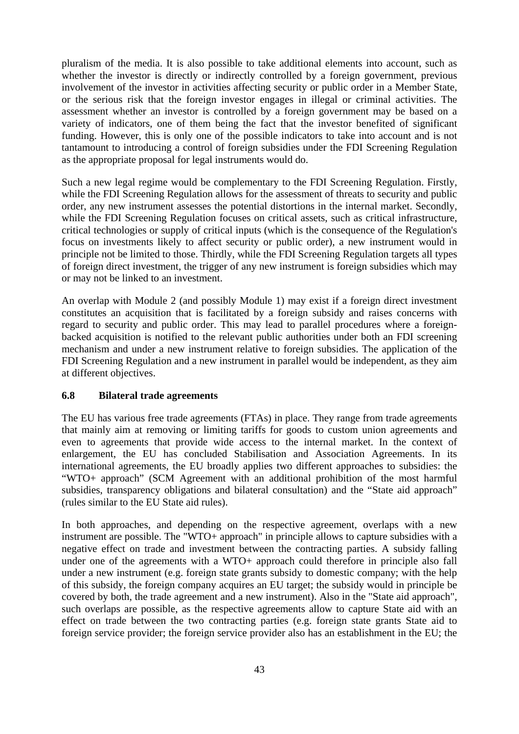pluralism of the media. It is also possible to take additional elements into account, such as whether the investor is directly or indirectly controlled by a foreign government, previous involvement of the investor in activities affecting security or public order in a Member State, or the serious risk that the foreign investor engages in illegal or criminal activities. The assessment whether an investor is controlled by a foreign government may be based on a variety of indicators, one of them being the fact that the investor benefited of significant funding. However, this is only one of the possible indicators to take into account and is not tantamount to introducing a control of foreign subsidies under the FDI Screening Regulation as the appropriate proposal for legal instruments would do.

Such a new legal regime would be complementary to the FDI Screening Regulation. Firstly, while the FDI Screening Regulation allows for the assessment of threats to security and public order, any new instrument assesses the potential distortions in the internal market. Secondly, while the FDI Screening Regulation focuses on critical assets, such as critical infrastructure, critical technologies or supply of critical inputs (which is the consequence of the Regulation's focus on investments likely to affect security or public order), a new instrument would in principle not be limited to those. Thirdly, while the FDI Screening Regulation targets all types of foreign direct investment, the trigger of any new instrument is foreign subsidies which may or may not be linked to an investment.

An overlap with Module 2 (and possibly Module 1) may exist if a foreign direct investment constitutes an acquisition that is facilitated by a foreign subsidy and raises concerns with regard to security and public order. This may lead to parallel procedures where a foreignbacked acquisition is notified to the relevant public authorities under both an FDI screening mechanism and under a new instrument relative to foreign subsidies. The application of the FDI Screening Regulation and a new instrument in parallel would be independent, as they aim at different objectives.

#### <span id="page-42-0"></span>**6.8 Bilateral trade agreements**

The EU has various free trade agreements (FTAs) in place. They range from trade agreements that mainly aim at removing or limiting tariffs for goods to custom union agreements and even to agreements that provide wide access to the internal market. In the context of enlargement, the EU has concluded Stabilisation and Association Agreements. In its international agreements, the EU broadly applies two different approaches to subsidies: the "WTO+ approach" (SCM Agreement with an additional prohibition of the most harmful subsidies, transparency obligations and bilateral consultation) and the "State aid approach" (rules similar to the EU State aid rules).

In both approaches, and depending on the respective agreement, overlaps with a new instrument are possible. The "WTO+ approach" in principle allows to capture subsidies with a negative effect on trade and investment between the contracting parties. A subsidy falling under one of the agreements with a WTO+ approach could therefore in principle also fall under a new instrument (e.g. foreign state grants subsidy to domestic company; with the help of this subsidy, the foreign company acquires an EU target; the subsidy would in principle be covered by both, the trade agreement and a new instrument). Also in the "State aid approach", such overlaps are possible, as the respective agreements allow to capture State aid with an effect on trade between the two contracting parties (e.g. foreign state grants State aid to foreign service provider; the foreign service provider also has an establishment in the EU; the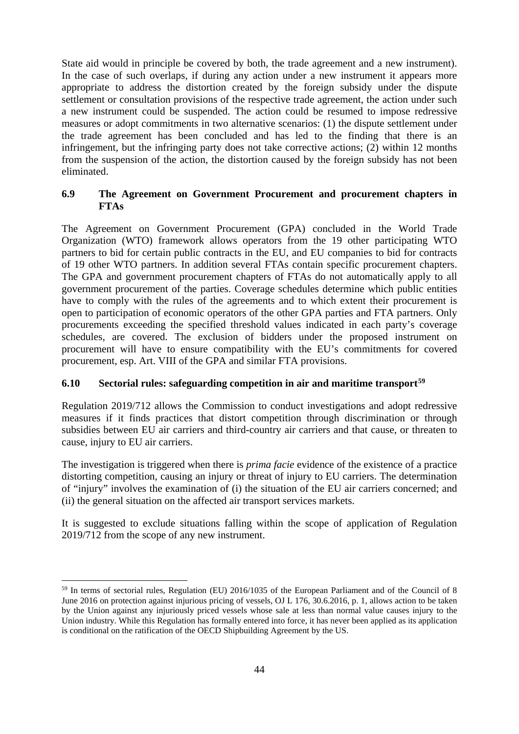State aid would in principle be covered by both, the trade agreement and a new instrument). In the case of such overlaps, if during any action under a new instrument it appears more appropriate to address the distortion created by the foreign subsidy under the dispute settlement or consultation provisions of the respective trade agreement, the action under such a new instrument could be suspended. The action could be resumed to impose redressive measures or adopt commitments in two alternative scenarios: (1) the dispute settlement under the trade agreement has been concluded and has led to the finding that there is an infringement, but the infringing party does not take corrective actions; (2) within 12 months from the suspension of the action, the distortion caused by the foreign subsidy has not been eliminated.

## <span id="page-43-0"></span>**6.9 The Agreement on Government Procurement and procurement chapters in FTAs**

The Agreement on Government Procurement (GPA) concluded in the World Trade Organization (WTO) framework allows operators from the 19 other participating WTO partners to bid for certain public contracts in the EU, and EU companies to bid for contracts of 19 other WTO partners. In addition several FTAs contain specific procurement chapters. The GPA and government procurement chapters of FTAs do not automatically apply to all government procurement of the parties. Coverage schedules determine which public entities have to comply with the rules of the agreements and to which extent their procurement is open to participation of economic operators of the other GPA parties and FTA partners. Only procurements exceeding the specified threshold values indicated in each party's coverage schedules, are covered. The exclusion of bidders under the proposed instrument on procurement will have to ensure compatibility with the EU's commitments for covered procurement, esp. Art. VIII of the GPA and similar FTA provisions.

# <span id="page-43-1"></span>**6.10 Sectorial rules: safeguarding competition in air and maritime transport[59](#page-43-2)**

Regulation 2019/712 allows the Commission to conduct investigations and adopt redressive measures if it finds practices that distort competition through discrimination or through subsidies between EU air carriers and third-country air carriers and that cause, or threaten to cause, injury to EU air carriers.

The investigation is triggered when there is *prima facie* evidence of the existence of a practice distorting competition, causing an injury or threat of injury to EU carriers. The determination of "injury" involves the examination of (i) the situation of the EU air carriers concerned; and (ii) the general situation on the affected air transport services markets.

It is suggested to exclude situations falling within the scope of application of Regulation 2019/712 from the scope of any new instrument.

<span id="page-43-2"></span> <sup>59</sup> In terms of sectorial rules, Regulation (EU) 2016/1035 of the European Parliament and of the Council of 8 June 2016 on protection against injurious pricing of vessels, OJ L 176, 30.6.2016, p. 1, allows action to be taken by the Union against any injuriously priced vessels whose sale at less than normal value causes injury to the Union industry. While this Regulation has formally entered into force, it has never been applied as its application is conditional on the ratification of the OECD Shipbuilding Agreement by the US.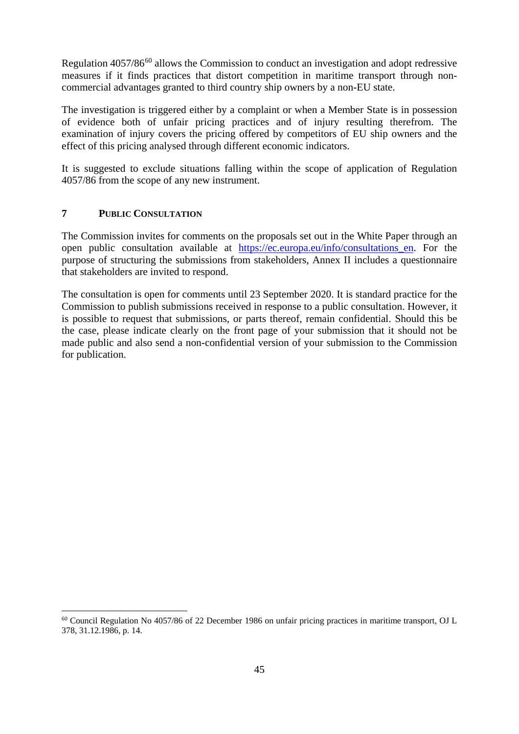Regulation 4057/86<sup>[60](#page-44-1)</sup> allows the Commission to conduct an investigation and adopt redressive measures if it finds practices that distort competition in maritime transport through noncommercial advantages granted to third country ship owners by a non-EU state.

The investigation is triggered either by a complaint or when a Member State is in possession of evidence both of unfair pricing practices and of injury resulting therefrom. The examination of injury covers the pricing offered by competitors of EU ship owners and the effect of this pricing analysed through different economic indicators.

It is suggested to exclude situations falling within the scope of application of Regulation 4057/86 from the scope of any new instrument.

## <span id="page-44-0"></span>**7 PUBLIC CONSULTATION**

The Commission invites for comments on the proposals set out in the White Paper through an open public consultation available at [https://ec.europa.eu/info/consultations\\_en.](https://ec.europa.eu/info/consultations_en) For the purpose of structuring the submissions from stakeholders, Annex II includes a questionnaire that stakeholders are invited to respond.

The consultation is open for comments until 23 September 2020. It is standard practice for the Commission to publish submissions received in response to a public consultation. However, it is possible to request that submissions, or parts thereof, remain confidential. Should this be the case, please indicate clearly on the front page of your submission that it should not be made public and also send a non-confidential version of your submission to the Commission for publication.

<span id="page-44-1"></span> <sup>60</sup> Council Regulation No 4057/86 of 22 December 1986 on unfair pricing practices in maritime transport, OJ L 378, 31.12.1986, p. 14.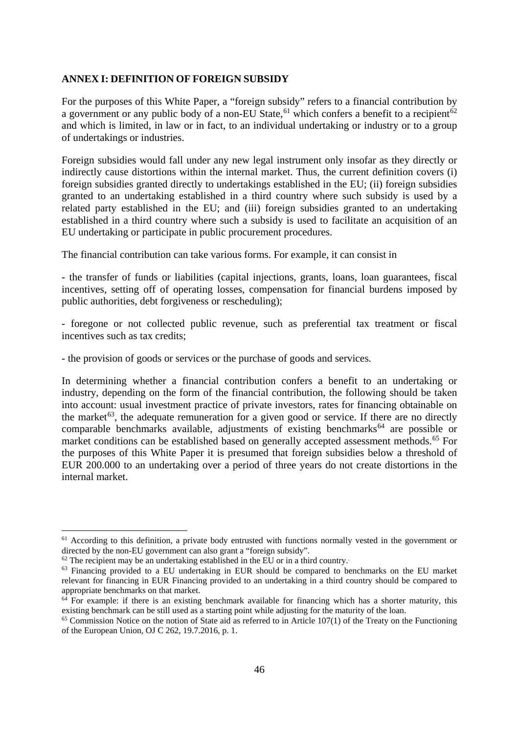#### <span id="page-45-0"></span>**ANNEX I: DEFINITION OF FOREIGN SUBSIDY**

For the purposes of this White Paper, a "foreign subsidy" refers to a financial contribution by a government or any public body of a non-EU State,<sup>[61](#page-45-1)</sup> which confers a benefit to a recipient<sup>[62](#page-45-2)</sup> and which is limited, in law or in fact, to an individual undertaking or industry or to a group of undertakings or industries.

Foreign subsidies would fall under any new legal instrument only insofar as they directly or indirectly cause distortions within the internal market. Thus, the current definition covers (i) foreign subsidies granted directly to undertakings established in the EU; (ii) foreign subsidies granted to an undertaking established in a third country where such subsidy is used by a related party established in the EU; and (iii) foreign subsidies granted to an undertaking established in a third country where such a subsidy is used to facilitate an acquisition of an EU undertaking or participate in public procurement procedures.

The financial contribution can take various forms. For example, it can consist in

- the transfer of funds or liabilities (capital injections, grants, loans, loan guarantees, fiscal incentives, setting off of operating losses, compensation for financial burdens imposed by public authorities, debt forgiveness or rescheduling);

- foregone or not collected public revenue, such as preferential tax treatment or fiscal incentives such as tax credits;

- the provision of goods or services or the purchase of goods and services.

In determining whether a financial contribution confers a benefit to an undertaking or industry, depending on the form of the financial contribution, the following should be taken into account: usual investment practice of private investors, rates for financing obtainable on the market<sup>[63](#page-45-3)</sup>, the adequate remuneration for a given good or service. If there are no directly comparable benchmarks available, adjustments of existing benchmarks<sup> $64$ </sup> are possible or market conditions can be established based on generally accepted assessment methods.<sup>[65](#page-45-5)</sup> For the purposes of this White Paper it is presumed that foreign subsidies below a threshold of EUR 200.000 to an undertaking over a period of three years do not create distortions in the internal market.

<span id="page-45-1"></span><sup>&</sup>lt;sup>61</sup> According to this definition, a private body entrusted with functions normally vested in the government or directed by the non-EU government can also grant a "foreign subsidy".

<span id="page-45-2"></span> $62$  The recipient may be an undertaking established in the EU or in a third country.

<span id="page-45-3"></span><sup>63</sup> Financing provided to a EU undertaking in EUR should be compared to benchmarks on the EU market relevant for financing in EUR Financing provided to an undertaking in a third country should be compared to appropriate benchmarks on that market.

<span id="page-45-4"></span> $64$  For example: if there is an existing benchmark available for financing which has a shorter maturity, this existing benchmark can be still used as a starting point while adjusting for the maturity of the loan.

<span id="page-45-5"></span> $65$  Commission Notice on the notion of State aid as referred to in Article 107(1) of the Treaty on the Functioning of the European Union, OJ C 262, 19.7.2016, p. 1.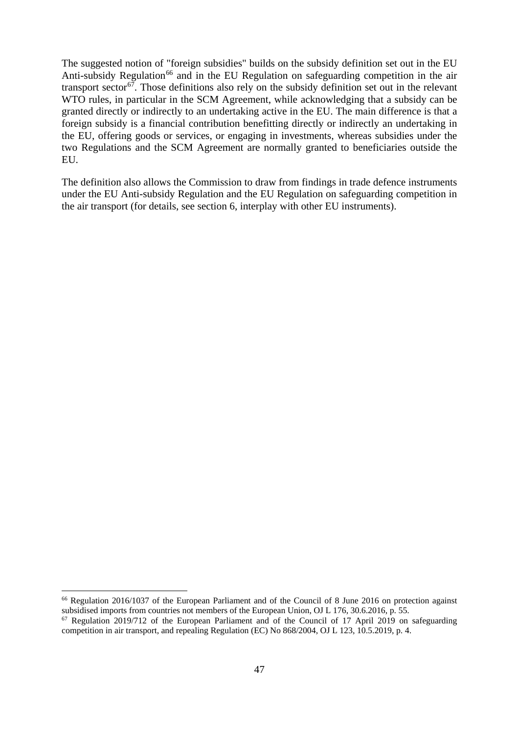The suggested notion of "foreign subsidies" builds on the subsidy definition set out in the EU Anti-subsidy Regulation<sup>[66](#page-46-0)</sup> and in the EU Regulation on safeguarding competition in the air transport sector<sup>[67](#page-46-1)</sup>. Those definitions also rely on the subsidy definition set out in the relevant WTO rules, in particular in the SCM Agreement, while acknowledging that a subsidy can be granted directly or indirectly to an undertaking active in the EU. The main difference is that a foreign subsidy is a financial contribution benefitting directly or indirectly an undertaking in the EU, offering goods or services, or engaging in investments, whereas subsidies under the two Regulations and the SCM Agreement are normally granted to beneficiaries outside the EU.

The definition also allows the Commission to draw from findings in trade defence instruments under the EU Anti-subsidy Regulation and the EU Regulation on safeguarding competition in the air transport (for details, see section 6, interplay with other EU instruments).

<span id="page-46-0"></span><sup>&</sup>lt;sup>66</sup> Regulation 2016/1037 of the European Parliament and of the Council of 8 June 2016 on protection against subsidised imports from countries not members of the European Union, OJ L 176, 30.6.2016, p. 55.

<span id="page-46-1"></span><sup>67</sup> Regulation 2019/712 of the European Parliament and of the Council of 17 April 2019 on safeguarding competition in air transport, and repealing Regulation (EC) No 868/2004, OJ L 123, 10.5.2019, p. 4.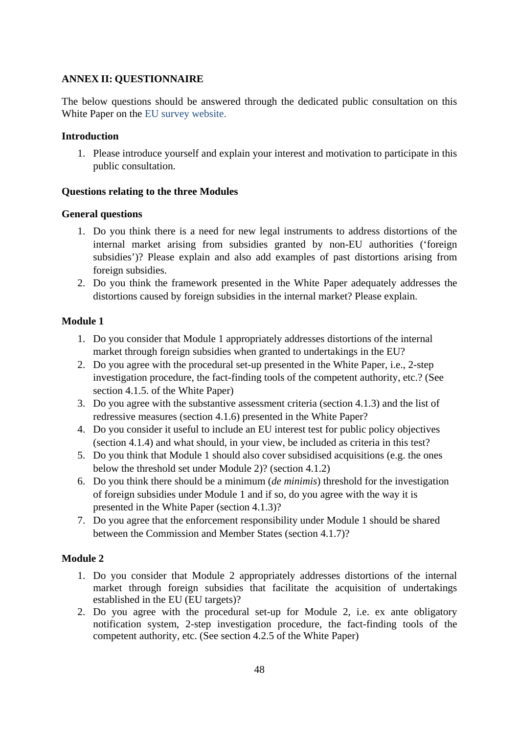#### <span id="page-47-0"></span>**ANNEX II: QUESTIONNAIRE**

The below questions should be answered through the dedicated public consultation on this White Paper on the EU survey website.

#### **Introduction**

1. Please introduce yourself and explain your interest and motivation to participate in this public consultation.

## **Questions relating to the three Modules**

## **General questions**

- 1. Do you think there is a need for new legal instruments to address distortions of the internal market arising from subsidies granted by non-EU authorities ('foreign subsidies')? Please explain and also add examples of past distortions arising from foreign subsidies.
- 2. Do you think the framework presented in the White Paper adequately addresses the distortions caused by foreign subsidies in the internal market? Please explain.

# **Module 1**

- 1. Do you consider that Module 1 appropriately addresses distortions of the internal market through foreign subsidies when granted to undertakings in the EU?
- 2. Do you agree with the procedural set-up presented in the White Paper, i.e., 2-step investigation procedure, the fact-finding tools of the competent authority, etc.? (See section 4.1.5. of the White Paper)
- 3. Do you agree with the substantive assessment criteria (section 4.1.3) and the list of redressive measures (section 4.1.6) presented in the White Paper?
- 4. Do you consider it useful to include an EU interest test for public policy objectives (section 4.1.4) and what should, in your view, be included as criteria in this test?
- 5. Do you think that Module 1 should also cover subsidised acquisitions (e.g. the ones below the threshold set under Module 2)? (section 4.1.2)
- 6. Do you think there should be a minimum (*de minimis*) threshold for the investigation of foreign subsidies under Module 1 and if so, do you agree with the way it is presented in the White Paper (section 4.1.3)?
- 7. Do you agree that the enforcement responsibility under Module 1 should be shared between the Commission and Member States (section 4.1.7)?

# **Module 2**

- 1. Do you consider that Module 2 appropriately addresses distortions of the internal market through foreign subsidies that facilitate the acquisition of undertakings established in the EU (EU targets)?
- 2. Do you agree with the procedural set-up for Module 2, i.e. ex ante obligatory notification system, 2-step investigation procedure, the fact-finding tools of the competent authority, etc. (See section 4.2.5 of the White Paper)